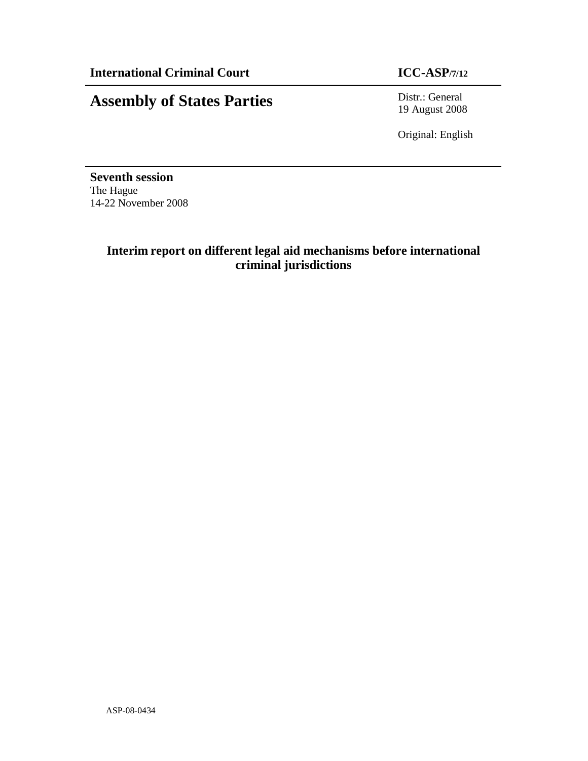# **Assembly of States Parties** Distr.: General

19 August 2008

Original: English

**Seventh session**  The Hague 14-22 November 2008

# **Interim report on different legal aid mechanisms before international criminal jurisdictions**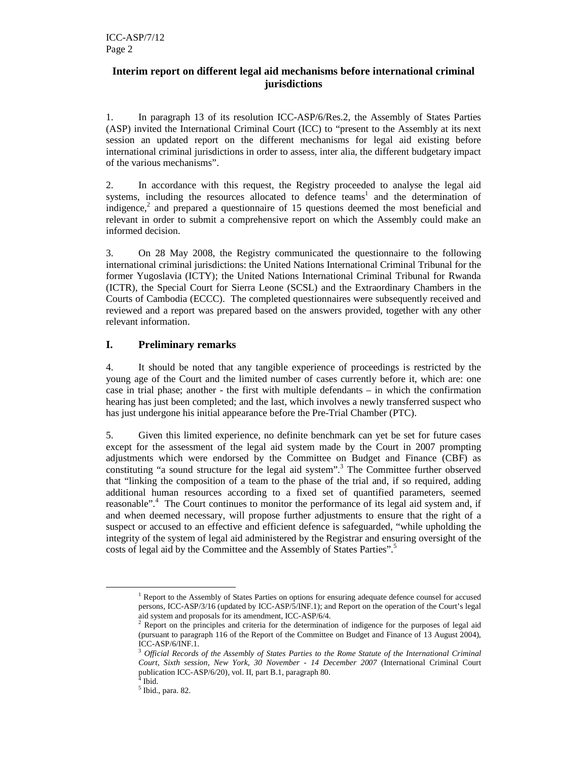# **Interim report on different legal aid mechanisms before international criminal jurisdictions**

1. In paragraph 13 of its resolution ICC-ASP/6/Res.2, the Assembly of States Parties (ASP) invited the International Criminal Court (ICC) to "present to the Assembly at its next session an updated report on the different mechanisms for legal aid existing before international criminal jurisdictions in order to assess, inter alia, the different budgetary impact of the various mechanisms".

2. In accordance with this request, the Registry proceeded to analyse the legal aid systems, including the resources allocated to defence teams<sup>1</sup> and the determination of indigence, $2$  and prepared a questionnaire of 15 questions deemed the most beneficial and relevant in order to submit a comprehensive report on which the Assembly could make an informed decision.

3. On 28 May 2008, the Registry communicated the questionnaire to the following international criminal jurisdictions: the United Nations International Criminal Tribunal for the former Yugoslavia (ICTY); the United Nations International Criminal Tribunal for Rwanda (ICTR), the Special Court for Sierra Leone (SCSL) and the Extraordinary Chambers in the Courts of Cambodia (ECCC). The completed questionnaires were subsequently received and reviewed and a report was prepared based on the answers provided, together with any other relevant information.

# **I. Preliminary remarks**

4. It should be noted that any tangible experience of proceedings is restricted by the young age of the Court and the limited number of cases currently before it, which are: one case in trial phase; another - the first with multiple defendants – in which the confirmation hearing has just been completed; and the last, which involves a newly transferred suspect who has just undergone his initial appearance before the Pre-Trial Chamber (PTC).

5. Given this limited experience, no definite benchmark can yet be set for future cases except for the assessment of the legal aid system made by the Court in 2007 prompting adjustments which were endorsed by the Committee on Budget and Finance (CBF) as constituting "a sound structure for the legal aid system".<sup>3</sup> The Committee further observed that "linking the composition of a team to the phase of the trial and, if so required, adding additional human resources according to a fixed set of quantified parameters, seemed reasonable".<sup>4</sup> The Court continues to monitor the performance of its legal aid system and, if and when deemed necessary, will propose further adjustments to ensure that the right of a suspect or accused to an effective and efficient defence is safeguarded, "while upholding the integrity of the system of legal aid administered by the Registrar and ensuring oversight of the costs of legal aid by the Committee and the Assembly of States Parties".<sup>5</sup>

<sup>&</sup>lt;sup>1</sup> Report to the Assembly of States Parties on options for ensuring adequate defence counsel for accused persons, ICC-ASP/3/16 (updated by ICC-ASP/5/INF.1); and Report on the operation of the Court's legal aid system and proposals for its amendment, ICC-ASP/6/4.

Report on the principles and criteria for the determination of indigence for the purposes of legal aid (pursuant to paragraph 116 of the Report of the Committee on Budget and Finance of 13 August 2004), ICC-ASP/6/INF.1.

<sup>3</sup> *Official Records of the Assembly of States Parties to the Rome Statute of the International Criminal Court, Sixth session, New York, 30 November - 14 December 2007* (International Criminal Court publication ICC-ASP/6/20), vol. II, part B.1, paragraph 80. 4

Ibid. 5 Ibid., para. 82.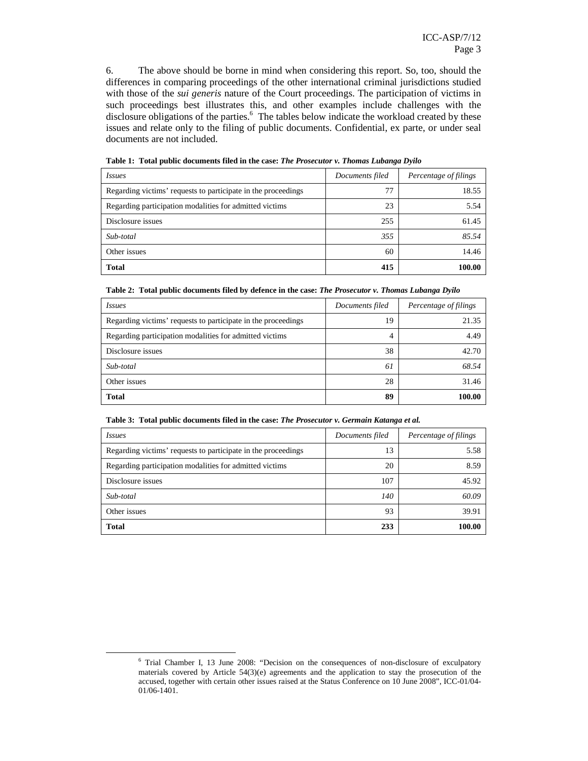6. The above should be borne in mind when considering this report. So, too, should the differences in comparing proceedings of the other international criminal jurisdictions studied with those of the *sui generis* nature of the Court proceedings. The participation of victims in such proceedings best illustrates this, and other examples include challenges with the disclosure obligations of the parties.<sup>6</sup> The tables below indicate the workload created by these issues and relate only to the filing of public documents. Confidential, ex parte, or under seal documents are not included.

| <i>Issues</i>                                                 | Documents filed | Percentage of filings |
|---------------------------------------------------------------|-----------------|-----------------------|
| Regarding victims' requests to participate in the proceedings | 77              | 18.55                 |
| Regarding participation modalities for admitted victims       | 23              | 5.54                  |
| Disclosure issues                                             | 255             | 61.45                 |
| Sub-total                                                     | 355             | 85.54                 |
| Other issues                                                  | 60              | 14.46                 |
| <b>Total</b>                                                  | 415             | 100.00                |

**Table 1: Total public documents filed in the case:** *The Prosecutor v. Thomas Lubanga Dyilo*

| <i>Issues</i>                                                 | Documents filed | Percentage of filings |
|---------------------------------------------------------------|-----------------|-----------------------|
| Regarding victims' requests to participate in the proceedings | 19              | 21.35                 |
| Regarding participation modalities for admitted victims       | 4               | 4.49                  |
| Disclosure issues                                             | 38              | 42.70                 |
| Sub-total                                                     | 61              | 68.54                 |
| Other issues                                                  | 28              | 31.46                 |
| <b>Total</b>                                                  | 89              | 100.00                |

|  |  |  |  |  |  |  | Table 3: Total public documents filed in the case: The Prosecutor v. Germain Katanga et al. |
|--|--|--|--|--|--|--|---------------------------------------------------------------------------------------------|
|--|--|--|--|--|--|--|---------------------------------------------------------------------------------------------|

| <i>Issues</i>                                                 | Documents filed | Percentage of filings |
|---------------------------------------------------------------|-----------------|-----------------------|
| Regarding victims' requests to participate in the proceedings | 13              | 5.58                  |
| Regarding participation modalities for admitted victims       | 20              | 8.59                  |
| Disclosure issues                                             | 107             | 45.92                 |
| Sub-total                                                     | 140             | 60.09                 |
| Other issues                                                  | 93              | 39.91                 |
| <b>Total</b>                                                  | 233             | 100.00                |

<sup>&</sup>lt;sup>6</sup> Trial Chamber I, 13 June 2008: "Decision on the consequences of non-disclosure of exculpatory materials covered by Article 54(3)(e) agreements and the application to stay the prosecution of the accused, together with certain other issues raised at the Status Conference on 10 June 2008", ICC-01/04- 01/06-1401.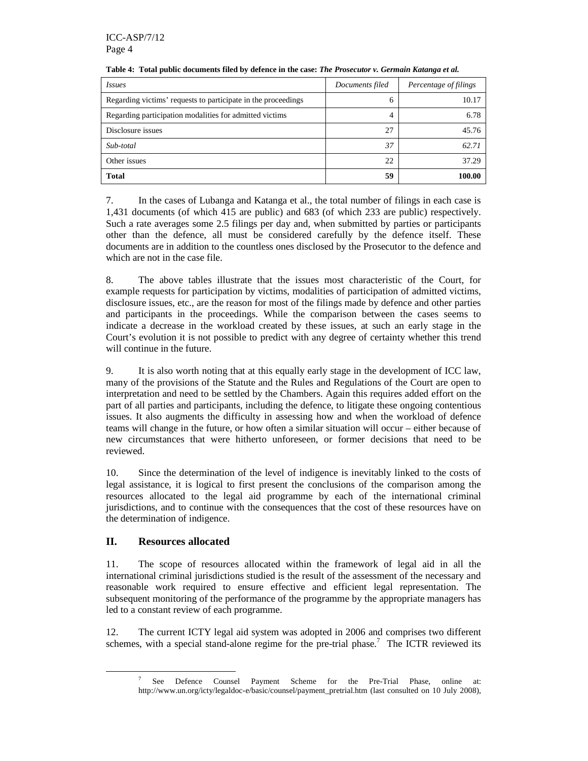| Issues                                                        | Documents filed | Percentage of filings |
|---------------------------------------------------------------|-----------------|-----------------------|
| Regarding victims' requests to participate in the proceedings | 6               | 10.17                 |
| Regarding participation modalities for admitted victims       | 4               | 6.78                  |
| Disclosure issues                                             | 27              | 45.76                 |
| Sub-total                                                     | 37              | 62.71                 |
| Other issues                                                  | 22              | 37.29                 |
| <b>Total</b>                                                  | 59              | 100.00                |

#### **Table 4: Total public documents filed by defence in the case:** *The Prosecutor v. Germain Katanga et al.*

7. In the cases of Lubanga and Katanga et al., the total number of filings in each case is 1,431 documents (of which 415 are public) and 683 (of which 233 are public) respectively. Such a rate averages some 2.5 filings per day and, when submitted by parties or participants other than the defence, all must be considered carefully by the defence itself. These documents are in addition to the countless ones disclosed by the Prosecutor to the defence and which are not in the case file.

8. The above tables illustrate that the issues most characteristic of the Court, for example requests for participation by victims, modalities of participation of admitted victims, disclosure issues, etc., are the reason for most of the filings made by defence and other parties and participants in the proceedings. While the comparison between the cases seems to indicate a decrease in the workload created by these issues, at such an early stage in the Court's evolution it is not possible to predict with any degree of certainty whether this trend will continue in the future.

9. It is also worth noting that at this equally early stage in the development of ICC law, many of the provisions of the Statute and the Rules and Regulations of the Court are open to interpretation and need to be settled by the Chambers. Again this requires added effort on the part of all parties and participants, including the defence, to litigate these ongoing contentious issues. It also augments the difficulty in assessing how and when the workload of defence teams will change in the future, or how often a similar situation will occur – either because of new circumstances that were hitherto unforeseen, or former decisions that need to be reviewed.

10. Since the determination of the level of indigence is inevitably linked to the costs of legal assistance, it is logical to first present the conclusions of the comparison among the resources allocated to the legal aid programme by each of the international criminal jurisdictions, and to continue with the consequences that the cost of these resources have on the determination of indigence.

# **II. Resources allocated**

 $\overline{a}$ 

11. The scope of resources allocated within the framework of legal aid in all the international criminal jurisdictions studied is the result of the assessment of the necessary and reasonable work required to ensure effective and efficient legal representation. The subsequent monitoring of the performance of the programme by the appropriate managers has led to a constant review of each programme.

12. The current ICTY legal aid system was adopted in 2006 and comprises two different schemes, with a special stand-alone regime for the pre-trial phase.<sup>7</sup> The ICTR reviewed its

<sup>7</sup> See Defence Counsel Payment Scheme for the Pre-Trial Phase, online at: http://www.un.org/icty/legaldoc-e/basic/counsel/payment\_pretrial.htm (last consulted on 10 July 2008),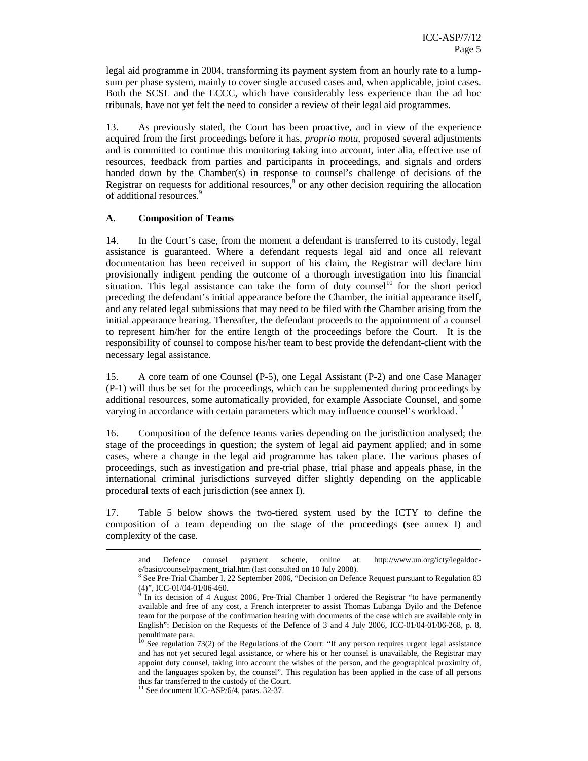legal aid programme in 2004, transforming its payment system from an hourly rate to a lumpsum per phase system, mainly to cover single accused cases and, when applicable, joint cases. Both the SCSL and the ECCC, which have considerably less experience than the ad hoc tribunals, have not yet felt the need to consider a review of their legal aid programmes.

13. As previously stated, the Court has been proactive, and in view of the experience acquired from the first proceedings before it has, *proprio motu,* proposed several adjustments and is committed to continue this monitoring taking into account, inter alia, effective use of resources, feedback from parties and participants in proceedings, and signals and orders handed down by the Chamber(s) in response to counsel's challenge of decisions of the Registrar on requests for additional resources, $\delta$  or any other decision requiring the allocation of additional resources.<sup>9</sup>

#### **A. Composition of Teams**

 $\overline{a}$ 

14. In the Court's case, from the moment a defendant is transferred to its custody, legal assistance is guaranteed. Where a defendant requests legal aid and once all relevant documentation has been received in support of his claim, the Registrar will declare him provisionally indigent pending the outcome of a thorough investigation into his financial situation. This legal assistance can take the form of duty counsel<sup>10</sup> for the short period preceding the defendant's initial appearance before the Chamber, the initial appearance itself, and any related legal submissions that may need to be filed with the Chamber arising from the initial appearance hearing. Thereafter, the defendant proceeds to the appointment of a counsel to represent him/her for the entire length of the proceedings before the Court. It is the responsibility of counsel to compose his/her team to best provide the defendant-client with the necessary legal assistance.

15. A core team of one Counsel (P-5), one Legal Assistant (P-2) and one Case Manager (P-1) will thus be set for the proceedings, which can be supplemented during proceedings by additional resources, some automatically provided, for example Associate Counsel, and some varying in accordance with certain parameters which may influence counsel's workload.<sup>11</sup>

16. Composition of the defence teams varies depending on the jurisdiction analysed; the stage of the proceedings in question; the system of legal aid payment applied; and in some cases, where a change in the legal aid programme has taken place. The various phases of proceedings, such as investigation and pre-trial phase, trial phase and appeals phase, in the international criminal jurisdictions surveyed differ slightly depending on the applicable procedural texts of each jurisdiction (see annex I).

17. Table 5 below shows the two-tiered system used by the ICTY to define the composition of a team depending on the stage of the proceedings (see annex I) and complexity of the case.

and Defence counsel payment scheme, online at: http://www.un.org/icty/legaldoce/basic/counsel/payment\_trial.htm (last consulted on 10 July 2008).

<sup>&</sup>lt;sup>8</sup> See Pre-Trial Chamber I, 22 September 2006, "Decision on Defence Request pursuant to Regulation 83

<sup>(4)&</sup>quot;, ICC-01/04-01/06-460. 9 In its decision of 4 August 2006, Pre-Trial Chamber I ordered the Registrar "to have permanently available and free of any cost, a French interpreter to assist Thomas Lubanga Dyilo and the Defence team for the purpose of the confirmation hearing with documents of the case which are available only in English": Decision on the Requests of the Defence of 3 and 4 July 2006, ICC-01/04-01/06-268, p. 8, penultimate para.

 $10$  See regulation 73(2) of the Regulations of the Court: "If any person requires urgent legal assistance and has not yet secured legal assistance, or where his or her counsel is unavailable, the Registrar may appoint duty counsel, taking into account the wishes of the person, and the geographical proximity of, and the languages spoken by, the counsel". This regulation has been applied in the case of all persons thus far transferred to the custody of the Court.

<sup>&</sup>lt;sup>11</sup> See document ICC-ASP/6/4, paras. 32-37.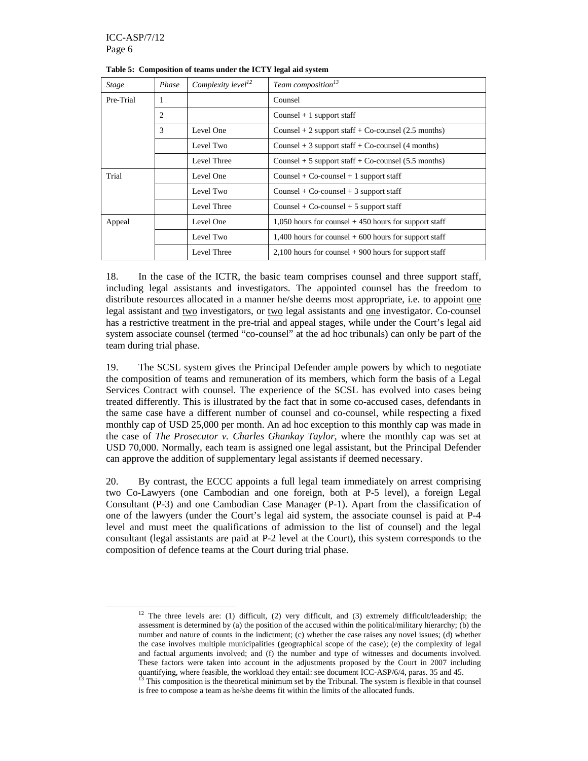$\overline{a}$ 

| <b>Stage</b>   | Phase | Complexity level <sup>12</sup> | Team composition <sup>13</sup>                           |
|----------------|-------|--------------------------------|----------------------------------------------------------|
| Pre-Trial      | 1     |                                | Counsel                                                  |
|                | 2     |                                | Counsel $+1$ support staff                               |
| 3<br>Level One |       |                                | Counsel $+ 2$ support staff $+$ Co-counsel (2.5 months)  |
|                |       | Level Two                      | Counsel $+3$ support staff $+$ Co-counsel (4 months)     |
|                |       | Level Three                    | Counsel $+5$ support staff $+$ Co-counsel (5.5 months)   |
| Trial          |       | Level One                      | Counsel + $Co$ -counsel + 1 support staff                |
|                |       | Level Two                      | Counsel + Co-counsel + 3 support staff                   |
|                |       | Level Three                    | Counsel + $Co$ -counsel + 5 support staff                |
| Appeal         |       | Level One                      | $1,050$ hours for counsel $+450$ hours for support staff |
|                |       | Level Two                      | 1,400 hours for counsel $+600$ hours for support staff   |
|                |       | Level Three                    | $2,100$ hours for counsel $+900$ hours for support staff |

**Table 5: Composition of teams under the ICTY legal aid system** 

18. In the case of the ICTR, the basic team comprises counsel and three support staff, including legal assistants and investigators. The appointed counsel has the freedom to distribute resources allocated in a manner he/she deems most appropriate, i.e. to appoint one legal assistant and two investigators, or two legal assistants and one investigator. Co-counsel has a restrictive treatment in the pre-trial and appeal stages, while under the Court's legal aid system associate counsel (termed "co-counsel" at the ad hoc tribunals) can only be part of the team during trial phase.

19. The SCSL system gives the Principal Defender ample powers by which to negotiate the composition of teams and remuneration of its members, which form the basis of a Legal Services Contract with counsel. The experience of the SCSL has evolved into cases being treated differently. This is illustrated by the fact that in some co-accused cases, defendants in the same case have a different number of counsel and co-counsel, while respecting a fixed monthly cap of USD 25,000 per month. An ad hoc exception to this monthly cap was made in the case of *The Prosecutor v. Charles Ghankay Taylor*, where the monthly cap was set at USD 70,000. Normally, each team is assigned one legal assistant, but the Principal Defender can approve the addition of supplementary legal assistants if deemed necessary.

20. By contrast, the ECCC appoints a full legal team immediately on arrest comprising two Co-Lawyers (one Cambodian and one foreign, both at P-5 level), a foreign Legal Consultant (P-3) and one Cambodian Case Manager (P-1). Apart from the classification of one of the lawyers (under the Court's legal aid system, the associate counsel is paid at P-4 level and must meet the qualifications of admission to the list of counsel) and the legal consultant (legal assistants are paid at P-2 level at the Court), this system corresponds to the composition of defence teams at the Court during trial phase.

<sup>&</sup>lt;sup>12</sup> The three levels are: (1) difficult, (2) very difficult, and (3) extremely difficult/leadership; the assessment is determined by (a) the position of the accused within the political/military hierarchy; (b) the number and nature of counts in the indictment; (c) whether the case raises any novel issues; (d) whether the case involves multiple municipalities (geographical scope of the case); (e) the complexity of legal and factual arguments involved; and (f) the number and type of witnesses and documents involved. These factors were taken into account in the adjustments proposed by the Court in 2007 including quantifying, where feasible, the workload they entail: see document ICC-ASP/6/4, paras. 35 and 45.

<sup>&</sup>lt;sup>3</sup> This composition is the theoretical minimum set by the Tribunal. The system is flexible in that counsel is free to compose a team as he/she deems fit within the limits of the allocated funds.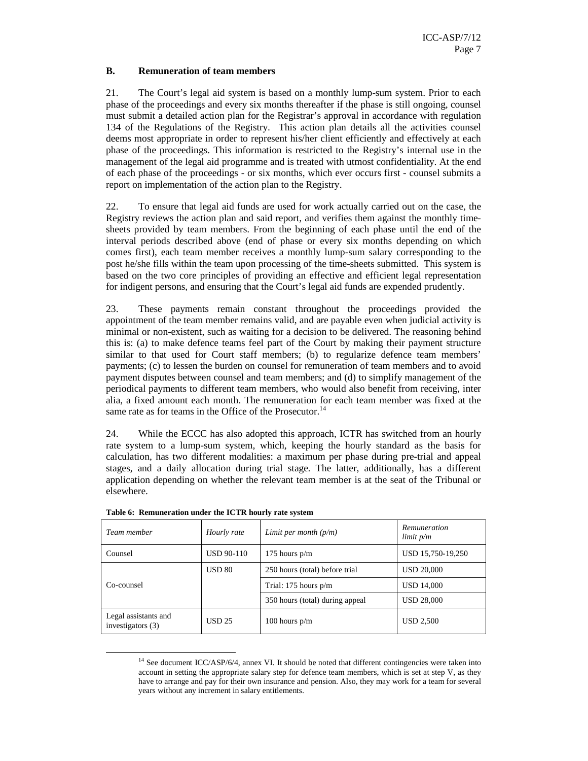## **B. Remuneration of team members**

21. The Court's legal aid system is based on a monthly lump-sum system. Prior to each phase of the proceedings and every six months thereafter if the phase is still ongoing, counsel must submit a detailed action plan for the Registrar's approval in accordance with regulation 134 of the Regulations of the Registry. This action plan details all the activities counsel deems most appropriate in order to represent his/her client efficiently and effectively at each phase of the proceedings. This information is restricted to the Registry's internal use in the management of the legal aid programme and is treated with utmost confidentiality. At the end of each phase of the proceedings - or six months, which ever occurs first - counsel submits a report on implementation of the action plan to the Registry.

22. To ensure that legal aid funds are used for work actually carried out on the case, the Registry reviews the action plan and said report, and verifies them against the monthly timesheets provided by team members. From the beginning of each phase until the end of the interval periods described above (end of phase or every six months depending on which comes first), each team member receives a monthly lump-sum salary corresponding to the post he/she fills within the team upon processing of the time-sheets submitted. This system is based on the two core principles of providing an effective and efficient legal representation for indigent persons, and ensuring that the Court's legal aid funds are expended prudently.

23. These payments remain constant throughout the proceedings provided the appointment of the team member remains valid, and are payable even when judicial activity is minimal or non-existent, such as waiting for a decision to be delivered. The reasoning behind this is: (a) to make defence teams feel part of the Court by making their payment structure similar to that used for Court staff members; (b) to regularize defence team members' payments; (c) to lessen the burden on counsel for remuneration of team members and to avoid payment disputes between counsel and team members; and (d) to simplify management of the periodical payments to different team members, who would also benefit from receiving, inter alia, a fixed amount each month. The remuneration for each team member was fixed at the same rate as for teams in the Office of the Prosecutor.<sup>14</sup>

24. While the ECCC has also adopted this approach, ICTR has switched from an hourly rate system to a lump-sum system, which, keeping the hourly standard as the basis for calculation, has two different modalities: a maximum per phase during pre-trial and appeal stages, and a daily allocation during trial stage. The latter, additionally, has a different application depending on whether the relevant team member is at the seat of the Tribunal or elsewhere.

| Team member                                 | Hourly rate       | Limit per month $(p/m)$         | Remuneration<br>limit p/m |
|---------------------------------------------|-------------------|---------------------------------|---------------------------|
| Counsel                                     | <b>USD 90-110</b> | 175 hours $p/m$                 | USD 15,750-19,250         |
|                                             | <b>USD 80</b>     | 250 hours (total) before trial  | <b>USD 20,000</b>         |
| Co-counsel                                  |                   | Trial: $175$ hours $p/m$        | <b>USD 14,000</b>         |
|                                             |                   | 350 hours (total) during appeal | <b>USD 28,000</b>         |
| Legal assistants and<br>investigators $(3)$ | <b>USD 25</b>     | 100 hours $p/m$                 | <b>USD 2,500</b>          |

**Table 6: Remuneration under the ICTR hourly rate system** 

<sup>&</sup>lt;sup>14</sup> See document ICC/ASP/6/4, annex VI. It should be noted that different contingencies were taken into account in setting the appropriate salary step for defence team members, which is set at step V, as they have to arrange and pay for their own insurance and pension. Also, they may work for a team for several years without any increment in salary entitlements.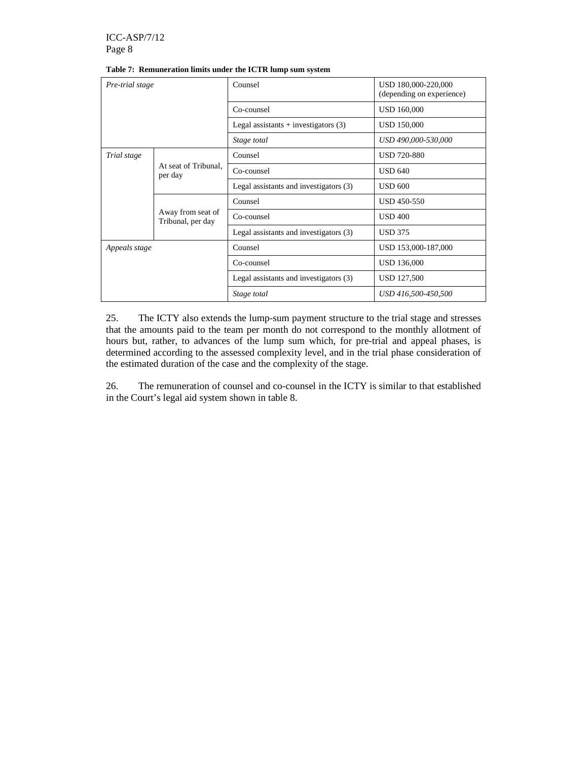| Pre-trial stage |                                        | Counsel                                | USD 180,000-220,000<br>(depending on experience) |
|-----------------|----------------------------------------|----------------------------------------|--------------------------------------------------|
|                 |                                        | Co-counsel                             | <b>USD 160,000</b>                               |
|                 |                                        | Legal assistants $+$ investigators (3) | <b>USD 150,000</b>                               |
|                 |                                        | Stage total                            | USD 490,000-530,000                              |
| Trial stage     |                                        | Counsel                                | <b>USD 720-880</b>                               |
|                 | At seat of Tribunal,<br>per day        | Co-counsel                             | <b>USD 640</b>                                   |
|                 |                                        | Legal assistants and investigators (3) | <b>USD 600</b>                                   |
|                 | Away from seat of<br>Tribunal, per day | Counsel                                | USD 450-550                                      |
|                 |                                        | Co-counsel                             | <b>USD 400</b>                                   |
|                 |                                        | Legal assistants and investigators (3) | <b>USD 375</b>                                   |
| Appeals stage   |                                        | Counsel                                | USD 153,000-187,000                              |
|                 |                                        | Co-counsel                             | <b>USD 136,000</b>                               |
|                 |                                        | Legal assistants and investigators (3) | <b>USD 127,500</b>                               |
|                 |                                        | Stage total                            | USD 416,500-450,500                              |

#### **Table 7: Remuneration limits under the ICTR lump sum system**

25. The ICTY also extends the lump-sum payment structure to the trial stage and stresses that the amounts paid to the team per month do not correspond to the monthly allotment of hours but, rather, to advances of the lump sum which, for pre-trial and appeal phases, is determined according to the assessed complexity level, and in the trial phase consideration of the estimated duration of the case and the complexity of the stage.

26. The remuneration of counsel and co-counsel in the ICTY is similar to that established in the Court's legal aid system shown in table 8.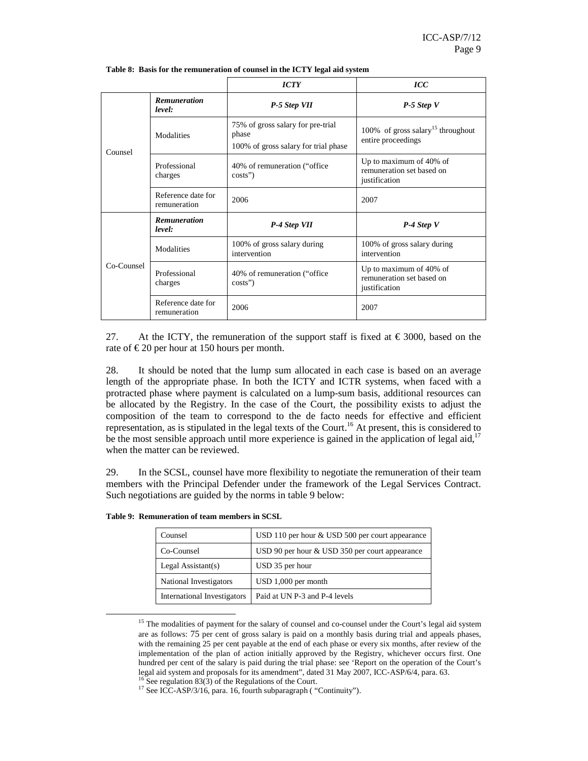|            |                                    | <b>ICTY</b>                                                                        | $\mathcal{ICC}$                                                       |
|------------|------------------------------------|------------------------------------------------------------------------------------|-----------------------------------------------------------------------|
|            | <b>Remuneration</b><br>level:      | P-5 Step VII                                                                       | $P-5$ Step V                                                          |
| Counsel    | Modalities                         | 75% of gross salary for pre-trial<br>phase<br>100% of gross salary for trial phase | 100% of gross salary <sup>15</sup> throughout<br>entire proceedings   |
|            | Professional<br>charges            | 40% of remuneration ("office"<br>$costs$ "                                         | Up to maximum of 40% of<br>remuneration set based on<br>justification |
|            | Reference date for<br>remuneration | 2006                                                                               | 2007                                                                  |
|            | <b>Remuneration</b><br>level:      | P-4 Step VII                                                                       | $P-4$ Step V                                                          |
|            | Modalities                         | 100% of gross salary during<br>intervention                                        | 100% of gross salary during<br>intervention                           |
| Co-Counsel | Professional<br>charges            | 40% of remuneration ("office"<br>$costs$ "                                         | Up to maximum of 40% of<br>remuneration set based on<br>justification |
|            | Reference date for<br>remuneration | 2006                                                                               | 2007                                                                  |

**Table 8: Basis for the remuneration of counsel in the ICTY legal aid system** 

27. At the ICTY, the remuneration of the support staff is fixed at  $\epsilon$  3000, based on the rate of  $\epsilon$  20 per hour at 150 hours per month.

28. It should be noted that the lump sum allocated in each case is based on an average length of the appropriate phase. In both the ICTY and ICTR systems, when faced with a protracted phase where payment is calculated on a lump-sum basis, additional resources can be allocated by the Registry. In the case of the Court, the possibility exists to adjust the composition of the team to correspond to the de facto needs for effective and efficient representation, as is stipulated in the legal texts of the Court.<sup>16</sup> At present, this is considered to be the most sensible approach until more experience is gained in the application of legal aid,<sup>17</sup> when the matter can be reviewed.

29. In the SCSL, counsel have more flexibility to negotiate the remuneration of their team members with the Principal Defender under the framework of the Legal Services Contract. Such negotiations are guided by the norms in table 9 below:

| Counsel                     | USD 110 per hour $&$ USD 500 per court appearance |
|-----------------------------|---------------------------------------------------|
| Co-Counsel                  | USD 90 per hour & USD 350 per court appearance    |
| Legal Assistant $(s)$       | USD 35 per hour                                   |
| National Investigators      | $USD 1,000$ per month                             |
| International Investigators | Paid at UN P-3 and P-4 levels                     |

**Table 9: Remuneration of team members in SCSL** 

 $\ddot{\phantom{a}}$ 

<sup>&</sup>lt;sup>15</sup> The modalities of payment for the salary of counsel and co-counsel under the Court's legal aid system are as follows: 75 per cent of gross salary is paid on a monthly basis during trial and appeals phases, with the remaining 25 per cent payable at the end of each phase or every six months, after review of the implementation of the plan of action initially approved by the Registry, whichever occurs first. One hundred per cent of the salary is paid during the trial phase: see 'Report on the operation of the Court's legal aid system and proposals for its amendment", dated 31 May 2007, ICC-ASP/6/4, para. 63.

 $6$  See regulation 83(3) of the Regulations of the Court.

<sup>&</sup>lt;sup>17</sup> See ICC-ASP/3/16, para. 16, fourth subparagraph ( "Continuity").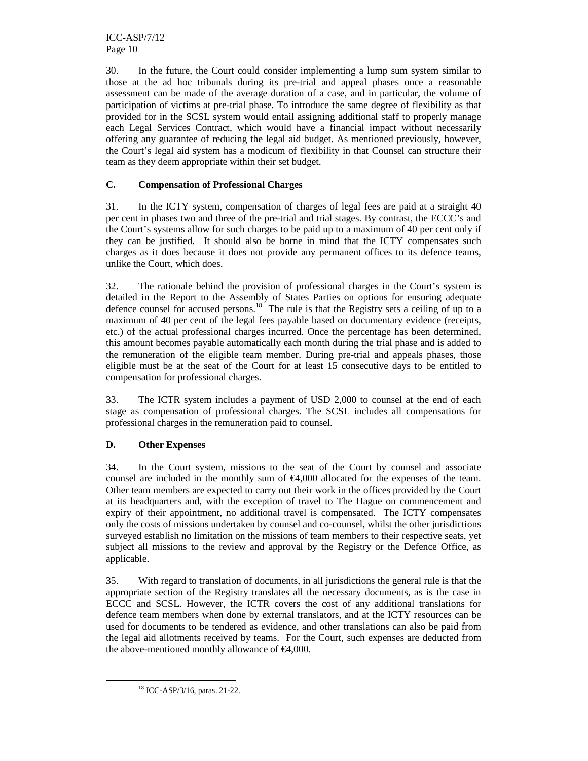ICC-ASP/7/12 Page 10

30. In the future, the Court could consider implementing a lump sum system similar to those at the ad hoc tribunals during its pre-trial and appeal phases once a reasonable assessment can be made of the average duration of a case, and in particular, the volume of participation of victims at pre-trial phase. To introduce the same degree of flexibility as that provided for in the SCSL system would entail assigning additional staff to properly manage each Legal Services Contract, which would have a financial impact without necessarily offering any guarantee of reducing the legal aid budget. As mentioned previously, however, the Court's legal aid system has a modicum of flexibility in that Counsel can structure their team as they deem appropriate within their set budget.

# **C. Compensation of Professional Charges**

31. In the ICTY system, compensation of charges of legal fees are paid at a straight 40 per cent in phases two and three of the pre-trial and trial stages. By contrast, the ECCC's and the Court's systems allow for such charges to be paid up to a maximum of 40 per cent only if they can be justified. It should also be borne in mind that the ICTY compensates such charges as it does because it does not provide any permanent offices to its defence teams, unlike the Court, which does.

32. The rationale behind the provision of professional charges in the Court's system is detailed in the Report to the Assembly of States Parties on options for ensuring adequate defence counsel for accused persons.<sup>18</sup> The rule is that the Registry sets a ceiling of up to a maximum of 40 per cent of the legal fees payable based on documentary evidence (receipts, etc.) of the actual professional charges incurred. Once the percentage has been determined, this amount becomes payable automatically each month during the trial phase and is added to the remuneration of the eligible team member. During pre-trial and appeals phases, those eligible must be at the seat of the Court for at least 15 consecutive days to be entitled to compensation for professional charges.

33. The ICTR system includes a payment of USD 2,000 to counsel at the end of each stage as compensation of professional charges. The SCSL includes all compensations for professional charges in the remuneration paid to counsel.

# **D. Other Expenses**

34. In the Court system, missions to the seat of the Court by counsel and associate counsel are included in the monthly sum of  $\epsilon$ 4,000 dlocated for the expenses of the team. Other team members are expected to carry out their work in the offices provided by the Court at its headquarters and, with the exception of travel to The Hague on commencement and expiry of their appointment, no additional travel is compensated. The ICTY compensates only the costs of missions undertaken by counsel and co-counsel, whilst the other jurisdictions surveyed establish no limitation on the missions of team members to their respective seats, yet subject all missions to the review and approval by the Registry or the Defence Office, as applicable.

35. With regard to translation of documents, in all jurisdictions the general rule is that the appropriate section of the Registry translates all the necessary documents, as is the case in ECCC and SCSL. However, the ICTR covers the cost of any additional translations for defence team members when done by external translators, and at the ICTY resources can be used for documents to be tendered as evidence, and other translations can also be paid from the legal aid allotments received by teams. For the Court, such expenses are deducted from the above-mentioned monthly allowance of  $\epsilon$ 4,000.

<sup>18</sup> ICC-ASP/3/16, paras. 21-22.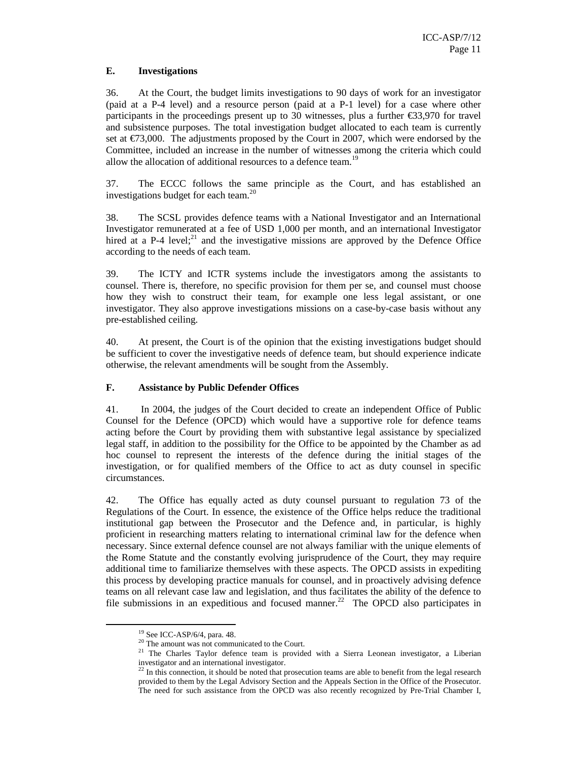## **E. Investigations**

36. At the Court, the budget limits investigations to 90 days of work for an investigator (paid at a P-4 level) and a resource person (paid at a P-1 level) for a case where other participants in the proceedings present up to 30 witnesses, plus a further €33,970 for travel and subsistence purposes. The total investigation budget allocated to each team is currently set at  $\epsilon$ 73,000. The adjustments proposed by the Carr in 2007, which were endorsed by the Committee, included an increase in the number of witnesses among the criteria which could allow the allocation of additional resources to a defence team.<sup>19</sup>

37. The ECCC follows the same principle as the Court, and has established an investigations budget for each team.<sup>20</sup>

38. The SCSL provides defence teams with a National Investigator and an International Investigator remunerated at a fee of USD 1,000 per month, and an international Investigator hired at a P-4 level;<sup>21</sup> and the investigative missions are approved by the Defence Office according to the needs of each team.

39. The ICTY and ICTR systems include the investigators among the assistants to counsel. There is, therefore, no specific provision for them per se, and counsel must choose how they wish to construct their team, for example one less legal assistant, or one investigator. They also approve investigations missions on a case-by-case basis without any pre-established ceiling.

40. At present, the Court is of the opinion that the existing investigations budget should be sufficient to cover the investigative needs of defence team, but should experience indicate otherwise, the relevant amendments will be sought from the Assembly.

#### **F. Assistance by Public Defender Offices**

41. In 2004, the judges of the Court decided to create an independent Office of Public Counsel for the Defence (OPCD) which would have a supportive role for defence teams acting before the Court by providing them with substantive legal assistance by specialized legal staff, in addition to the possibility for the Office to be appointed by the Chamber as ad hoc counsel to represent the interests of the defence during the initial stages of the investigation, or for qualified members of the Office to act as duty counsel in specific circumstances.

42. The Office has equally acted as duty counsel pursuant to regulation 73 of the Regulations of the Court. In essence, the existence of the Office helps reduce the traditional institutional gap between the Prosecutor and the Defence and, in particular, is highly proficient in researching matters relating to international criminal law for the defence when necessary. Since external defence counsel are not always familiar with the unique elements of the Rome Statute and the constantly evolving jurisprudence of the Court, they may require additional time to familiarize themselves with these aspects. The OPCD assists in expediting this process by developing practice manuals for counsel, and in proactively advising defence teams on all relevant case law and legislation, and thus facilitates the ability of the defence to file submissions in an expeditious and focused manner.<sup>22</sup> The OPCD also participates in

 $\ddot{\phantom{a}}$ 

<sup>19</sup> See ICC-ASP/6/4, para. 48.

<sup>&</sup>lt;sup>20</sup> The amount was not communicated to the Court.

<sup>&</sup>lt;sup>21</sup> The Charles Taylor defence team is provided with a Sierra Leonean investigator, a Liberian investigator and an international investigator.

<sup>&</sup>lt;sup>22</sup> In this connection, it should be noted that prosecution teams are able to benefit from the legal research provided to them by the Legal Advisory Section and the Appeals Section in the Office of the Prosecutor. The need for such assistance from the OPCD was also recently recognized by Pre-Trial Chamber I,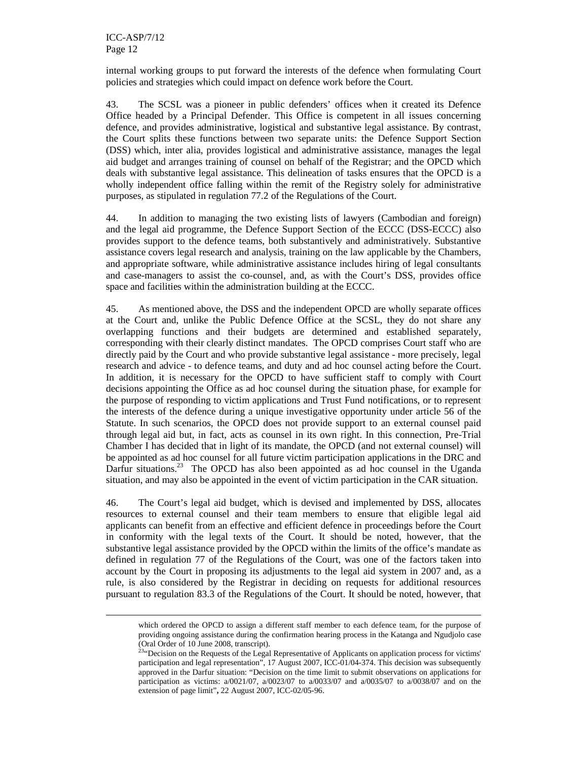$\overline{a}$ 

internal working groups to put forward the interests of the defence when formulating Court policies and strategies which could impact on defence work before the Court.

43. The SCSL was a pioneer in public defenders' offices when it created its Defence Office headed by a Principal Defender. This Office is competent in all issues concerning defence, and provides administrative, logistical and substantive legal assistance. By contrast, the Court splits these functions between two separate units: the Defence Support Section (DSS) which, inter alia, provides logistical and administrative assistance, manages the legal aid budget and arranges training of counsel on behalf of the Registrar; and the OPCD which deals with substantive legal assistance. This delineation of tasks ensures that the OPCD is a wholly independent office falling within the remit of the Registry solely for administrative purposes, as stipulated in regulation 77.2 of the Regulations of the Court.

44. In addition to managing the two existing lists of lawyers (Cambodian and foreign) and the legal aid programme, the Defence Support Section of the ECCC (DSS-ECCC) also provides support to the defence teams, both substantively and administratively. Substantive assistance covers legal research and analysis, training on the law applicable by the Chambers, and appropriate software, while administrative assistance includes hiring of legal consultants and case-managers to assist the co-counsel, and, as with the Court's DSS, provides office space and facilities within the administration building at the ECCC.

45. As mentioned above, the DSS and the independent OPCD are wholly separate offices at the Court and, unlike the Public Defence Office at the SCSL, they do not share any overlapping functions and their budgets are determined and established separately, corresponding with their clearly distinct mandates. The OPCD comprises Court staff who are directly paid by the Court and who provide substantive legal assistance - more precisely, legal research and advice - to defence teams, and duty and ad hoc counsel acting before the Court. In addition, it is necessary for the OPCD to have sufficient staff to comply with Court decisions appointing the Office as ad hoc counsel during the situation phase, for example for the purpose of responding to victim applications and Trust Fund notifications, or to represent the interests of the defence during a unique investigative opportunity under article 56 of the Statute. In such scenarios, the OPCD does not provide support to an external counsel paid through legal aid but, in fact, acts as counsel in its own right. In this connection, Pre-Trial Chamber I has decided that in light of its mandate, the OPCD (and not external counsel) will be appointed as ad hoc counsel for all future victim participation applications in the DRC and Darfur situations.<sup>23</sup> The OPCD has also been appointed as ad hoc counsel in the Uganda situation, and may also be appointed in the event of victim participation in the CAR situation.

46. The Court's legal aid budget, which is devised and implemented by DSS, allocates resources to external counsel and their team members to ensure that eligible legal aid applicants can benefit from an effective and efficient defence in proceedings before the Court in conformity with the legal texts of the Court. It should be noted, however, that the substantive legal assistance provided by the OPCD within the limits of the office's mandate as defined in regulation 77 of the Regulations of the Court, was one of the factors taken into account by the Court in proposing its adjustments to the legal aid system in 2007 and, as a rule, is also considered by the Registrar in deciding on requests for additional resources pursuant to regulation 83.3 of the Regulations of the Court. It should be noted, however, that

which ordered the OPCD to assign a different staff member to each defence team, for the purpose of providing ongoing assistance during the confirmation hearing process in the Katanga and Ngudjolo case (Oral Order of 10 June 2008, transcript).

 $2^{23}$ "Decision on the Requests of the Legal Representative of Applicants on application process for victims' participation and legal representation", 17 August 2007, ICC-01/04-374. This decision was subsequently approved in the Darfur situation: "Decision on the time limit to submit observations on applications for participation as victims: a/0021/07, a/0023/07 to a/0033/07 and a/0035/07 to a/0038/07 and on the extension of page limit"**,** 22 August 2007, ICC-02/05-96.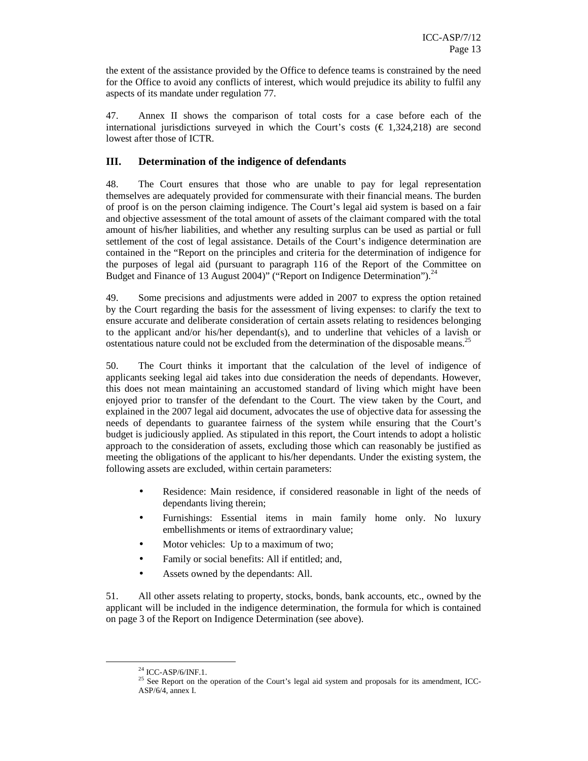the extent of the assistance provided by the Office to defence teams is constrained by the need for the Office to avoid any conflicts of interest, which would prejudice its ability to fulfil any aspects of its mandate under regulation 77.

47. Annex II shows the comparison of total costs for a case before each of the international jurisdictions surveyed in which the Court's costs  $(\epsilon 1,324,218)$  are second lowest after those of ICTR.

# **III. Determination of the indigence of defendants**

48. The Court ensures that those who are unable to pay for legal representation themselves are adequately provided for commensurate with their financial means. The burden of proof is on the person claiming indigence. The Court's legal aid system is based on a fair and objective assessment of the total amount of assets of the claimant compared with the total amount of his/her liabilities, and whether any resulting surplus can be used as partial or full settlement of the cost of legal assistance. Details of the Court's indigence determination are contained in the "Report on the principles and criteria for the determination of indigence for the purposes of legal aid (pursuant to paragraph 116 of the Report of the Committee on Budget and Finance of 13 August 2004)" ("Report on Indigence Determination").<sup>24</sup>

49. Some precisions and adjustments were added in 2007 to express the option retained by the Court regarding the basis for the assessment of living expenses: to clarify the text to ensure accurate and deliberate consideration of certain assets relating to residences belonging to the applicant and/or his/her dependant(s), and to underline that vehicles of a lavish or ostentatious nature could not be excluded from the determination of the disposable means.<sup>25</sup>

50. The Court thinks it important that the calculation of the level of indigence of applicants seeking legal aid takes into due consideration the needs of dependants. However, this does not mean maintaining an accustomed standard of living which might have been enjoyed prior to transfer of the defendant to the Court. The view taken by the Court, and explained in the 2007 legal aid document, advocates the use of objective data for assessing the needs of dependants to guarantee fairness of the system while ensuring that the Court's budget is judiciously applied. As stipulated in this report, the Court intends to adopt a holistic approach to the consideration of assets, excluding those which can reasonably be justified as meeting the obligations of the applicant to his/her dependants. Under the existing system, the following assets are excluded, within certain parameters:

- Residence: Main residence, if considered reasonable in light of the needs of dependants living therein;
- Furnishings: Essential items in main family home only. No luxury embellishments or items of extraordinary value;
- Motor vehicles: Up to a maximum of two;
- Family or social benefits: All if entitled; and,
- Assets owned by the dependants: All.

51. All other assets relating to property, stocks, bonds, bank accounts, etc., owned by the applicant will be included in the indigence determination, the formula for which is contained on page 3 of the Report on Indigence Determination (see above).

 $^{24}$  ICC-ASP/6/INF.1.

<sup>&</sup>lt;sup>25</sup> See Report on the operation of the Court's legal aid system and proposals for its amendment, ICC-ASP/6/4, annex I.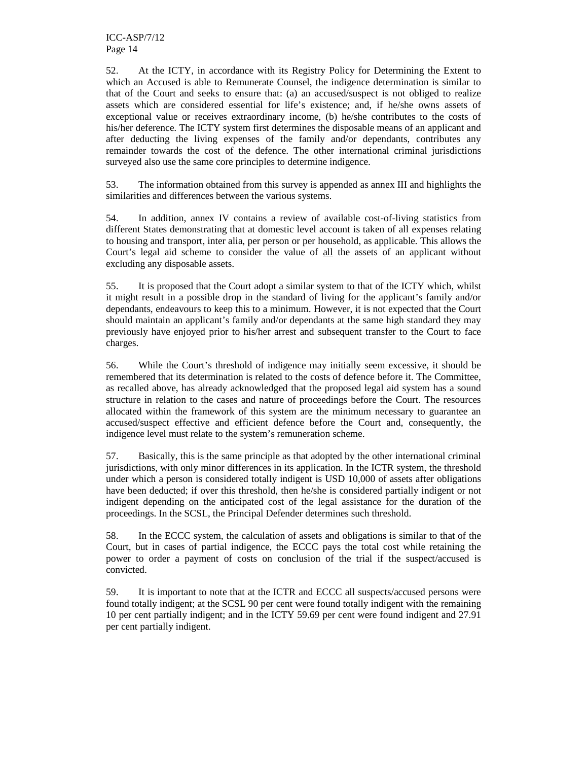52. At the ICTY, in accordance with its Registry Policy for Determining the Extent to which an Accused is able to Remunerate Counsel, the indigence determination is similar to that of the Court and seeks to ensure that: (a) an accused/suspect is not obliged to realize assets which are considered essential for life's existence; and, if he/she owns assets of exceptional value or receives extraordinary income, (b) he/she contributes to the costs of his/her deference. The ICTY system first determines the disposable means of an applicant and after deducting the living expenses of the family and/or dependants, contributes any remainder towards the cost of the defence. The other international criminal jurisdictions surveyed also use the same core principles to determine indigence.

53. The information obtained from this survey is appended as annex III and highlights the similarities and differences between the various systems.

54. In addition, annex IV contains a review of available cost-of-living statistics from different States demonstrating that at domestic level account is taken of all expenses relating to housing and transport, inter alia, per person or per household, as applicable*.* This allows the Court's legal aid scheme to consider the value of all the assets of an applicant without excluding any disposable assets.

55. It is proposed that the Court adopt a similar system to that of the ICTY which, whilst it might result in a possible drop in the standard of living for the applicant's family and/or dependants, endeavours to keep this to a minimum. However, it is not expected that the Court should maintain an applicant's family and/or dependants at the same high standard they may previously have enjoyed prior to his/her arrest and subsequent transfer to the Court to face charges.

56. While the Court's threshold of indigence may initially seem excessive, it should be remembered that its determination is related to the costs of defence before it. The Committee, as recalled above, has already acknowledged that the proposed legal aid system has a sound structure in relation to the cases and nature of proceedings before the Court. The resources allocated within the framework of this system are the minimum necessary to guarantee an accused/suspect effective and efficient defence before the Court and, consequently, the indigence level must relate to the system's remuneration scheme.

57. Basically, this is the same principle as that adopted by the other international criminal jurisdictions, with only minor differences in its application. In the ICTR system, the threshold under which a person is considered totally indigent is USD 10,000 of assets after obligations have been deducted; if over this threshold, then he/she is considered partially indigent or not indigent depending on the anticipated cost of the legal assistance for the duration of the proceedings. In the SCSL, the Principal Defender determines such threshold.

58. In the ECCC system, the calculation of assets and obligations is similar to that of the Court, but in cases of partial indigence, the ECCC pays the total cost while retaining the power to order a payment of costs on conclusion of the trial if the suspect/accused is convicted.

59. It is important to note that at the ICTR and ECCC all suspects/accused persons were found totally indigent; at the SCSL 90 per cent were found totally indigent with the remaining 10 per cent partially indigent; and in the ICTY 59.69 per cent were found indigent and 27.91 per cent partially indigent.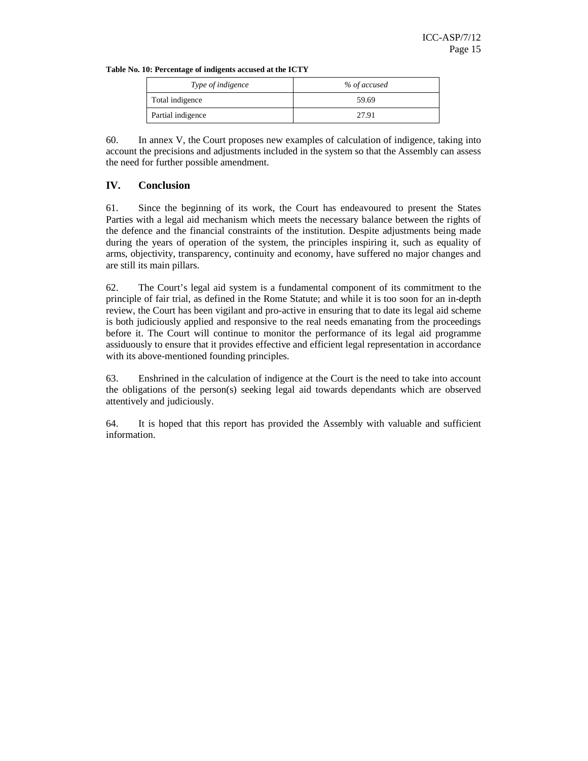|  |  | Table No. 10: Percentage of indigents accused at the ICTY |  |
|--|--|-----------------------------------------------------------|--|
|--|--|-----------------------------------------------------------|--|

| Type of indigence | % of accused |
|-------------------|--------------|
| Total indigence   | 59.69        |
| Partial indigence | 27.91        |

60. In annex V, the Court proposes new examples of calculation of indigence, taking into account the precisions and adjustments included in the system so that the Assembly can assess the need for further possible amendment.

#### **IV. Conclusion**

61. Since the beginning of its work, the Court has endeavoured to present the States Parties with a legal aid mechanism which meets the necessary balance between the rights of the defence and the financial constraints of the institution. Despite adjustments being made during the years of operation of the system, the principles inspiring it, such as equality of arms, objectivity, transparency, continuity and economy, have suffered no major changes and are still its main pillars.

62. The Court's legal aid system is a fundamental component of its commitment to the principle of fair trial, as defined in the Rome Statute; and while it is too soon for an in-depth review, the Court has been vigilant and pro-active in ensuring that to date its legal aid scheme is both judiciously applied and responsive to the real needs emanating from the proceedings before it. The Court will continue to monitor the performance of its legal aid programme assiduously to ensure that it provides effective and efficient legal representation in accordance with its above-mentioned founding principles.

63. Enshrined in the calculation of indigence at the Court is the need to take into account the obligations of the person(s) seeking legal aid towards dependants which are observed attentively and judiciously.

64. It is hoped that this report has provided the Assembly with valuable and sufficient information.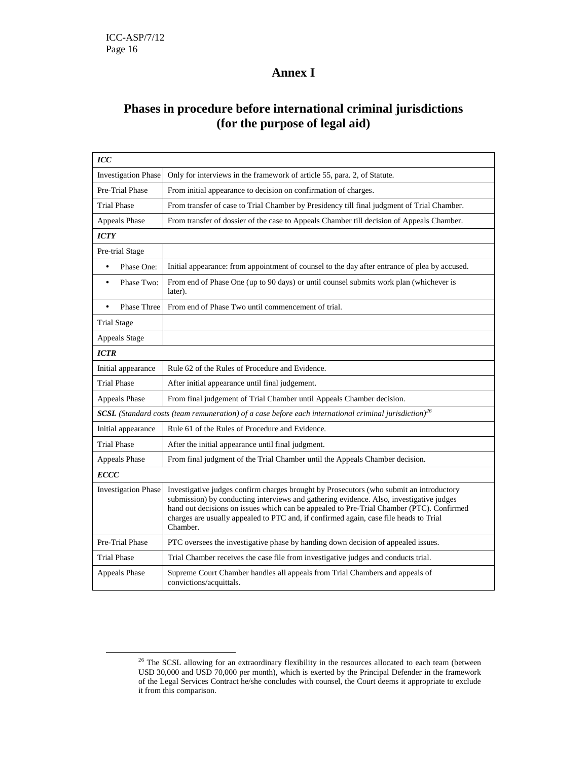$\overline{a}$ 

# **Annex I**

# **Phases in procedure before international criminal jurisdictions (for the purpose of legal aid)**

| ICC                                                                                    |                                                                                                                                                                                                                                                                                                                                                                                     |
|----------------------------------------------------------------------------------------|-------------------------------------------------------------------------------------------------------------------------------------------------------------------------------------------------------------------------------------------------------------------------------------------------------------------------------------------------------------------------------------|
| <b>Investigation Phase</b>                                                             | Only for interviews in the framework of article 55, para. 2, of Statute.                                                                                                                                                                                                                                                                                                            |
| Pre-Trial Phase                                                                        | From initial appearance to decision on confirmation of charges.                                                                                                                                                                                                                                                                                                                     |
| <b>Trial Phase</b>                                                                     | From transfer of case to Trial Chamber by Presidency till final judgment of Trial Chamber.                                                                                                                                                                                                                                                                                          |
| Appeals Phase                                                                          | From transfer of dossier of the case to Appeals Chamber till decision of Appeals Chamber.                                                                                                                                                                                                                                                                                           |
| <b>ICTY</b>                                                                            |                                                                                                                                                                                                                                                                                                                                                                                     |
| Pre-trial Stage                                                                        |                                                                                                                                                                                                                                                                                                                                                                                     |
| Phase One:<br>$\bullet$                                                                | Initial appearance: from appointment of counsel to the day after entrance of plea by accused.                                                                                                                                                                                                                                                                                       |
| Phase Two:<br>٠                                                                        | From end of Phase One (up to 90 days) or until counsel submits work plan (whichever is<br>later).                                                                                                                                                                                                                                                                                   |
| <b>Phase Three</b><br>$\bullet$                                                        | From end of Phase Two until commencement of trial.                                                                                                                                                                                                                                                                                                                                  |
| <b>Trial Stage</b>                                                                     |                                                                                                                                                                                                                                                                                                                                                                                     |
| <b>Appeals Stage</b>                                                                   |                                                                                                                                                                                                                                                                                                                                                                                     |
| <b>ICTR</b>                                                                            |                                                                                                                                                                                                                                                                                                                                                                                     |
| Initial appearance                                                                     | Rule 62 of the Rules of Procedure and Evidence.                                                                                                                                                                                                                                                                                                                                     |
| <b>Trial Phase</b>                                                                     | After initial appearance until final judgement.                                                                                                                                                                                                                                                                                                                                     |
| From final judgement of Trial Chamber until Appeals Chamber decision.<br>Appeals Phase |                                                                                                                                                                                                                                                                                                                                                                                     |
|                                                                                        | <b>SCSL</b> (Standard costs (team remuneration) of a case before each international criminal jurisdiction) <sup>26</sup>                                                                                                                                                                                                                                                            |
| Initial appearance                                                                     | Rule 61 of the Rules of Procedure and Evidence.                                                                                                                                                                                                                                                                                                                                     |
| <b>Trial Phase</b>                                                                     | After the initial appearance until final judgment.                                                                                                                                                                                                                                                                                                                                  |
| <b>Appeals Phase</b>                                                                   | From final judgment of the Trial Chamber until the Appeals Chamber decision.                                                                                                                                                                                                                                                                                                        |
| ECCC                                                                                   |                                                                                                                                                                                                                                                                                                                                                                                     |
| <b>Investigation Phase</b>                                                             | Investigative judges confirm charges brought by Prosecutors (who submit an introductory<br>submission) by conducting interviews and gathering evidence. Also, investigative judges<br>hand out decisions on issues which can be appealed to Pre-Trial Chamber (PTC). Confirmed<br>charges are usually appealed to PTC and, if confirmed again, case file heads to Trial<br>Chamber. |
| Pre-Trial Phase                                                                        | PTC oversees the investigative phase by handing down decision of appealed issues.                                                                                                                                                                                                                                                                                                   |
| Trial Phase                                                                            | Trial Chamber receives the case file from investigative judges and conducts trial.                                                                                                                                                                                                                                                                                                  |
| Appeals Phase                                                                          | Supreme Court Chamber handles all appeals from Trial Chambers and appeals of<br>convictions/acquittals.                                                                                                                                                                                                                                                                             |

<sup>&</sup>lt;sup>26</sup> The SCSL allowing for an extraordinary flexibility in the resources allocated to each team (between USD 30,000 and USD 70,000 per month), which is exerted by the Principal Defender in the framework of the Legal Services Contract he/she concludes with counsel, the Court deems it appropriate to exclude it from this comparison.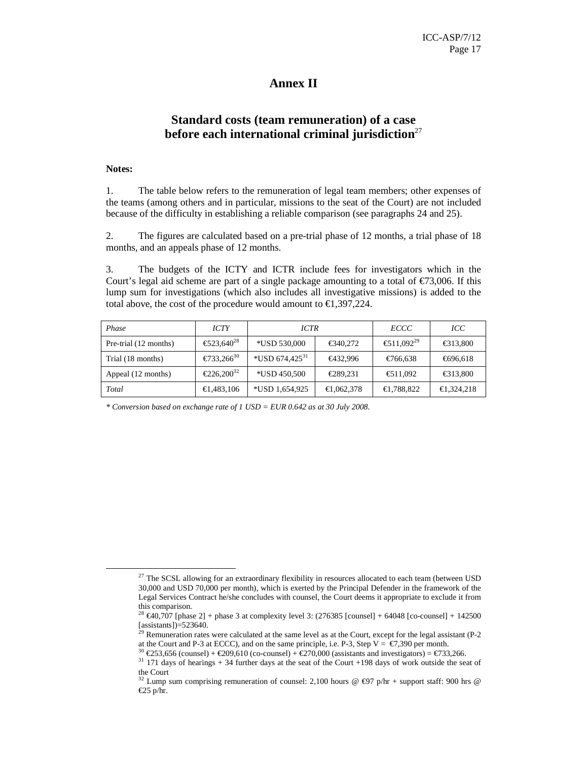# **Annex II**

# **Standard costs (team remuneration) of a case before each international criminal jurisdiction**<sup>27</sup>

## **Notes:**

 $\overline{a}$ 

1. The table below refers to the remuneration of legal team members; other expenses of the teams (among others and in particular, missions to the seat of the Court) are not included because of the difficulty in establishing a reliable comparison (see paragraphs 24 and 25).

2. The figures are calculated based on a pre-trial phase of 12 months, a trial phase of 18 months, and an appeals phase of 12 months.

3. The budgets of the ICTY and ICTR include fees for investigators which in the Court's legal aid scheme are part of a single package amounting to a total of  $\epsilon$ 73,006. If this lump sum for investigations (which also includes all investigative missions) is added to the total above, the cost of the procedure would amount to  $\epsilon$ 1,397,224.

| Phase                 | <i>ICTY</i>           | ICTR                       |            | ECCC                  | ICC      |
|-----------------------|-----------------------|----------------------------|------------|-----------------------|----------|
| Pre-trial (12 months) | €523,640 <sup>8</sup> | *USD 530,000               | €340,272   | €511,09 <sup>39</sup> | €313,800 |
| Trial (18 months)     | €733,26 $6^{0}$       | *USD 674,425 <sup>31</sup> | €432,996   | €766,638              | €696,618 |
| Appeal (12 months)    | $€226.200^2$          | *USD 450,500               | €289,231   | €511,092              | €313,800 |
| Total                 | €1,483,106            | $*$ USD 1,654,925          | €1,062,378 | €1,788,822            | €324,218 |

*\* Conversion based on exchange rate of 1 USD = EUR 0.642 as at 30 July 2008.* 

 $27$  The SCSL allowing for an extraordinary flexibility in resources allocated to each team (between USD) 30,000 and USD 70,000 per month), which is exerted by the Principal Defender in the framework of the Legal Services Contract he/she concludes with counsel, the Court deems it appropriate to exclude it from this comparison.

<sup>&</sup>lt;sup>28</sup> €40,707 [phase 2] + phase 3 at complexity level 3: (276385 [counsel] + 64048 [co-counsel] + 142500 [assistants])=523640.

<sup>&</sup>lt;sup>29</sup> Remuneration rates were calculated at the same level as at the Court, except for the legal assistant ( $P-2$ ) at the Court and P-3 at ECCC), and on the same principle, i.e. P-3, Step  $V = \epsilon 7,390$  per month.

<sup>&</sup>lt;sup>30</sup> €253,656 (counsel) + €209,610 (co-counsel) + €27000 (assistants and investigators) = €733,266.

 $31$  171 days of hearings + 34 further days at the seat of the Court +198 days of work outside the seat of the Court

<sup>&</sup>lt;sup>32</sup> Lump sum comprising remuneration of counsel: 2,100 hours @  $\text{\textsterling}97$  p/hr + support staff: 900 hrs @ €25 p/hr.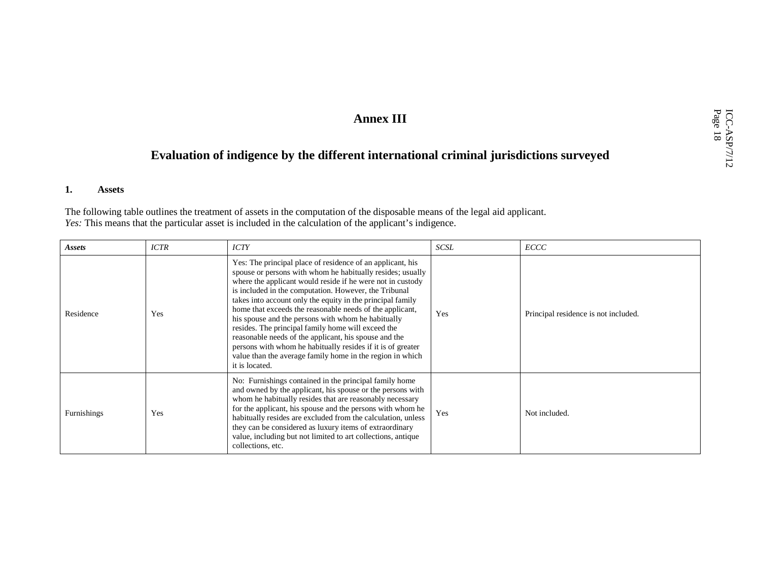# Annex III<br> **Evaluation of indigence by the different international criminal jurisdictions surveyed**

#### **1.Assets**

The following table outlines the treatment of assets in the computation of the disposable means of the legal aid applicant.<br>Yes: This means that the particular asset is included in the calculation of the applicant's indige

| Assets      | <b>ICTR</b> | <b>ICTY</b>                                                                                                                                                                                                                                                                                                                                                                                                                                                                                                                                                                                                                                                                                  | <b>SCSL</b> | ECCC                                 |
|-------------|-------------|----------------------------------------------------------------------------------------------------------------------------------------------------------------------------------------------------------------------------------------------------------------------------------------------------------------------------------------------------------------------------------------------------------------------------------------------------------------------------------------------------------------------------------------------------------------------------------------------------------------------------------------------------------------------------------------------|-------------|--------------------------------------|
| Residence   | Yes         | Yes: The principal place of residence of an applicant, his<br>spouse or persons with whom he habitually resides; usually<br>where the applicant would reside if he were not in custody<br>is included in the computation. However, the Tribunal<br>takes into account only the equity in the principal family<br>home that exceeds the reasonable needs of the applicant,<br>his spouse and the persons with whom he habitually<br>resides. The principal family home will exceed the<br>reasonable needs of the applicant, his spouse and the<br>persons with whom he habitually resides if it is of greater<br>value than the average family home in the region in which<br>it is located. | Yes         | Principal residence is not included. |
| Furnishings | Yes         | No: Furnishings contained in the principal family home<br>and owned by the applicant, his spouse or the persons with<br>whom he habitually resides that are reasonably necessary<br>for the applicant, his spouse and the persons with whom he<br>habitually resides are excluded from the calculation, unless<br>they can be considered as luxury items of extraordinary<br>value, including but not limited to art collections, antique<br>collections, etc.                                                                                                                                                                                                                               | Yes         | Not included.                        |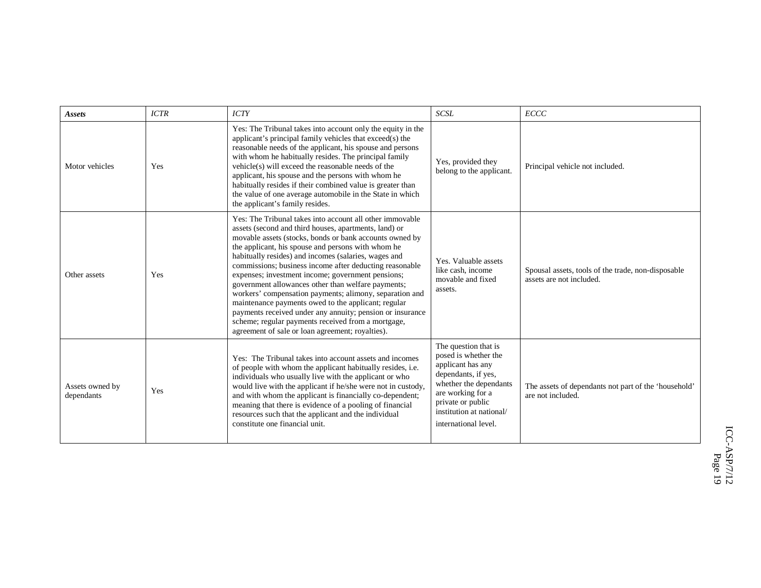| <b>Assets</b>                 | <b>ICTR</b> | <b>ICTY</b>                                                                                                                                                                                                                                                                                                                                                                                                                                                                                                                                                                                                                                                                                                                                               | <b>SCSL</b>                                                                                                                                                                                                      | ECCC                                                                           |
|-------------------------------|-------------|-----------------------------------------------------------------------------------------------------------------------------------------------------------------------------------------------------------------------------------------------------------------------------------------------------------------------------------------------------------------------------------------------------------------------------------------------------------------------------------------------------------------------------------------------------------------------------------------------------------------------------------------------------------------------------------------------------------------------------------------------------------|------------------------------------------------------------------------------------------------------------------------------------------------------------------------------------------------------------------|--------------------------------------------------------------------------------|
| Motor vehicles                | Yes         | Yes: The Tribunal takes into account only the equity in the<br>applicant's principal family vehicles that exceed(s) the<br>reasonable needs of the applicant, his spouse and persons<br>with whom he habitually resides. The principal family<br>vehicle(s) will exceed the reasonable needs of the<br>applicant, his spouse and the persons with whom he<br>habitually resides if their combined value is greater than<br>the value of one average automobile in the State in which<br>the applicant's family resides.                                                                                                                                                                                                                                   | Yes, provided they<br>belong to the applicant.                                                                                                                                                                   | Principal vehicle not included.                                                |
| Other assets                  | Yes         | Yes: The Tribunal takes into account all other immovable<br>assets (second and third houses, apartments, land) or<br>movable assets (stocks, bonds or bank accounts owned by<br>the applicant, his spouse and persons with whom he<br>habitually resides) and incomes (salaries, wages and<br>commissions; business income after deducting reasonable<br>expenses; investment income; government pensions;<br>government allowances other than welfare payments;<br>workers' compensation payments; alimony, separation and<br>maintenance payments owed to the applicant; regular<br>payments received under any annuity; pension or insurance<br>scheme; regular payments received from a mortgage,<br>agreement of sale or loan agreement; royalties). | Yes. Valuable assets<br>like cash, income<br>movable and fixed<br>assets.                                                                                                                                        | Spousal assets, tools of the trade, non-disposable<br>assets are not included. |
| Assets owned by<br>dependants | Yes         | Yes: The Tribunal takes into account assets and incomes<br>of people with whom the applicant habitually resides, i.e.<br>individuals who usually live with the applicant or who<br>would live with the applicant if he/she were not in custody,<br>and with whom the applicant is financially co-dependent;<br>meaning that there is evidence of a pooling of financial<br>resources such that the applicant and the individual<br>constitute one financial unit.                                                                                                                                                                                                                                                                                         | The question that is<br>posed is whether the<br>applicant has any<br>dependants, if yes,<br>whether the dependants<br>are working for a<br>private or public<br>institution at national/<br>international level. | The assets of dependants not part of the 'household'<br>are not included.      |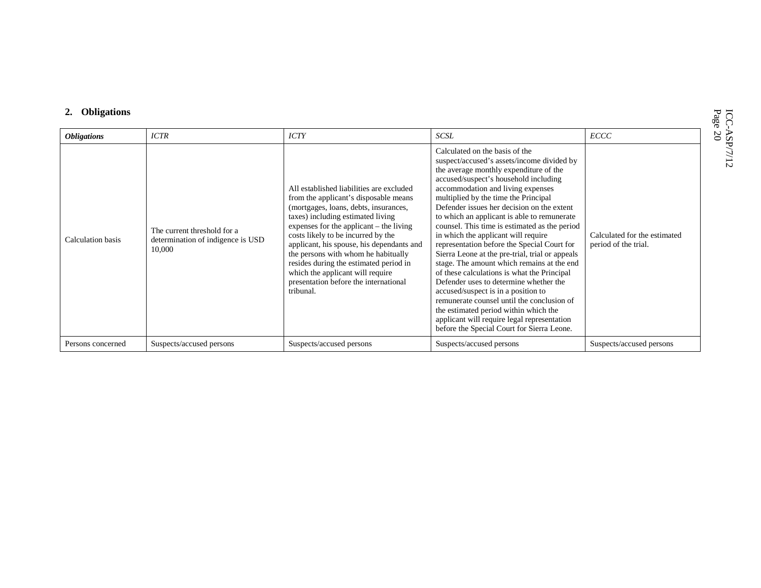| <b>Obligations</b> | <b>ICTR</b>                                                                | <b>ICTY</b>                                                                                                                                                                                                                                                                                                                                                                                                                                                                | SCSL                                                                                                                                                                                                                                                                                                                                                                                                                                                                                                                                                                                                                                                                                                                                                                                                                                                                                                  | ECCC                                                 |
|--------------------|----------------------------------------------------------------------------|----------------------------------------------------------------------------------------------------------------------------------------------------------------------------------------------------------------------------------------------------------------------------------------------------------------------------------------------------------------------------------------------------------------------------------------------------------------------------|-------------------------------------------------------------------------------------------------------------------------------------------------------------------------------------------------------------------------------------------------------------------------------------------------------------------------------------------------------------------------------------------------------------------------------------------------------------------------------------------------------------------------------------------------------------------------------------------------------------------------------------------------------------------------------------------------------------------------------------------------------------------------------------------------------------------------------------------------------------------------------------------------------|------------------------------------------------------|
| Calculation basis  | The current threshold for a<br>determination of indigence is USD<br>10,000 | All established liabilities are excluded<br>from the applicant's disposable means<br>(mortgages, loans, debts, insurances,<br>taxes) including estimated living<br>expenses for the applicant $-$ the living<br>costs likely to be incurred by the<br>applicant, his spouse, his dependants and<br>the persons with whom he habitually<br>resides during the estimated period in<br>which the applicant will require<br>presentation before the international<br>tribunal. | Calculated on the basis of the<br>suspect/accused's assets/income divided by<br>the average monthly expenditure of the<br>accused/suspect's household including<br>accommodation and living expenses<br>multiplied by the time the Principal<br>Defender issues her decision on the extent<br>to which an applicant is able to remunerate<br>counsel. This time is estimated as the period<br>in which the applicant will require<br>representation before the Special Court for<br>Sierra Leone at the pre-trial, trial or appeals<br>stage. The amount which remains at the end<br>of these calculations is what the Principal<br>Defender uses to determine whether the<br>accused/suspect is in a position to<br>remunerate counsel until the conclusion of<br>the estimated period within which the<br>applicant will require legal representation<br>before the Special Court for Sierra Leone. | Calculated for the estimated<br>period of the trial. |
| Persons concerned  | Suspects/accused persons                                                   | Suspects/accused persons                                                                                                                                                                                                                                                                                                                                                                                                                                                   | Suspects/accused persons                                                                                                                                                                                                                                                                                                                                                                                                                                                                                                                                                                                                                                                                                                                                                                                                                                                                              | Suspects/accused persons                             |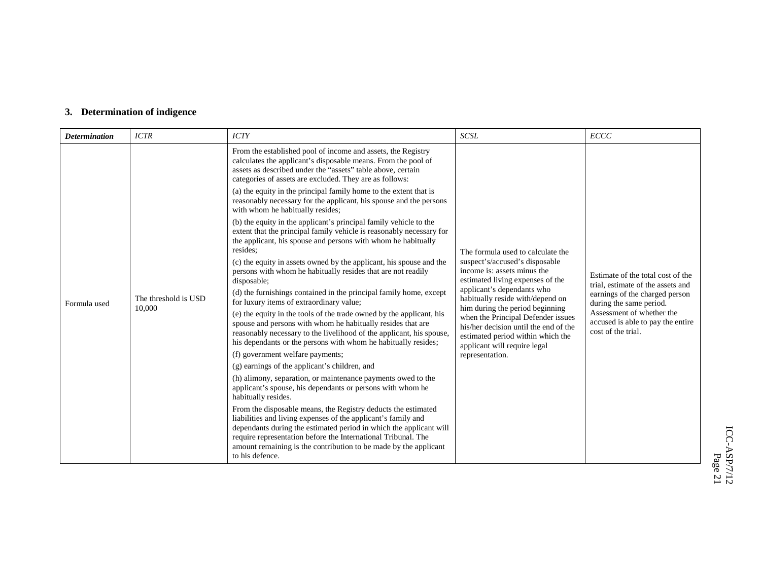# **3. Determination of indigence**

| <b>Determination</b> | <b>ICTR</b>                                                                                                                                                                                                                                                                                                                                                                                                                                                                                                                                     | <b>ICTY</b>                                                                                                                                                                                                                                                                   | <b>SCSL</b>                                                                                                                                                                                                                                                              | <b>ECCC</b>                                                                                                                                       |
|----------------------|-------------------------------------------------------------------------------------------------------------------------------------------------------------------------------------------------------------------------------------------------------------------------------------------------------------------------------------------------------------------------------------------------------------------------------------------------------------------------------------------------------------------------------------------------|-------------------------------------------------------------------------------------------------------------------------------------------------------------------------------------------------------------------------------------------------------------------------------|--------------------------------------------------------------------------------------------------------------------------------------------------------------------------------------------------------------------------------------------------------------------------|---------------------------------------------------------------------------------------------------------------------------------------------------|
|                      |                                                                                                                                                                                                                                                                                                                                                                                                                                                                                                                                                 | From the established pool of income and assets, the Registry<br>calculates the applicant's disposable means. From the pool of<br>assets as described under the "assets" table above, certain<br>categories of assets are excluded. They are as follows:                       |                                                                                                                                                                                                                                                                          |                                                                                                                                                   |
|                      |                                                                                                                                                                                                                                                                                                                                                                                                                                                                                                                                                 | (a) the equity in the principal family home to the extent that is<br>reasonably necessary for the applicant, his spouse and the persons<br>with whom he habitually resides;                                                                                                   |                                                                                                                                                                                                                                                                          |                                                                                                                                                   |
|                      |                                                                                                                                                                                                                                                                                                                                                                                                                                                                                                                                                 | (b) the equity in the applicant's principal family vehicle to the<br>extent that the principal family vehicle is reasonably necessary for<br>the applicant, his spouse and persons with whom he habitually<br>resides:                                                        | The formula used to calculate the                                                                                                                                                                                                                                        |                                                                                                                                                   |
|                      |                                                                                                                                                                                                                                                                                                                                                                                                                                                                                                                                                 | (c) the equity in assets owned by the applicant, his spouse and the<br>persons with whom he habitually resides that are not readily<br>disposable;                                                                                                                            | suspect's/accused's disposable<br>income is: assets minus the<br>estimated living expenses of the                                                                                                                                                                        | Estimate of the total cost of the<br>trial, estimate of the assets and                                                                            |
| Formula used         | The threshold is USD<br>10,000                                                                                                                                                                                                                                                                                                                                                                                                                                                                                                                  | (d) the furnishings contained in the principal family home, except<br>for luxury items of extraordinary value;                                                                                                                                                                | applicant's dependants who<br>habitually reside with/depend on<br>him during the period beginning<br>when the Principal Defender issues<br>his/her decision until the end of the<br>estimated period within which the<br>applicant will require legal<br>representation. | earnings of the charged person<br>during the same period.<br>Assessment of whether the<br>accused is able to pay the entire<br>cost of the trial. |
|                      |                                                                                                                                                                                                                                                                                                                                                                                                                                                                                                                                                 | (e) the equity in the tools of the trade owned by the applicant, his<br>spouse and persons with whom he habitually resides that are<br>reasonably necessary to the livelihood of the applicant, his spouse,<br>his dependants or the persons with whom he habitually resides; |                                                                                                                                                                                                                                                                          |                                                                                                                                                   |
|                      |                                                                                                                                                                                                                                                                                                                                                                                                                                                                                                                                                 | (f) government welfare payments;                                                                                                                                                                                                                                              |                                                                                                                                                                                                                                                                          |                                                                                                                                                   |
|                      | (g) earnings of the applicant's children, and<br>(h) alimony, separation, or maintenance payments owed to the<br>applicant's spouse, his dependants or persons with whom he<br>habitually resides.<br>From the disposable means, the Registry deducts the estimated<br>liabilities and living expenses of the applicant's family and<br>dependants during the estimated period in which the applicant will<br>require representation before the International Tribunal. The<br>amount remaining is the contribution to be made by the applicant |                                                                                                                                                                                                                                                                               |                                                                                                                                                                                                                                                                          |                                                                                                                                                   |
|                      |                                                                                                                                                                                                                                                                                                                                                                                                                                                                                                                                                 |                                                                                                                                                                                                                                                                               |                                                                                                                                                                                                                                                                          |                                                                                                                                                   |
|                      |                                                                                                                                                                                                                                                                                                                                                                                                                                                                                                                                                 | to his defence.                                                                                                                                                                                                                                                               |                                                                                                                                                                                                                                                                          |                                                                                                                                                   |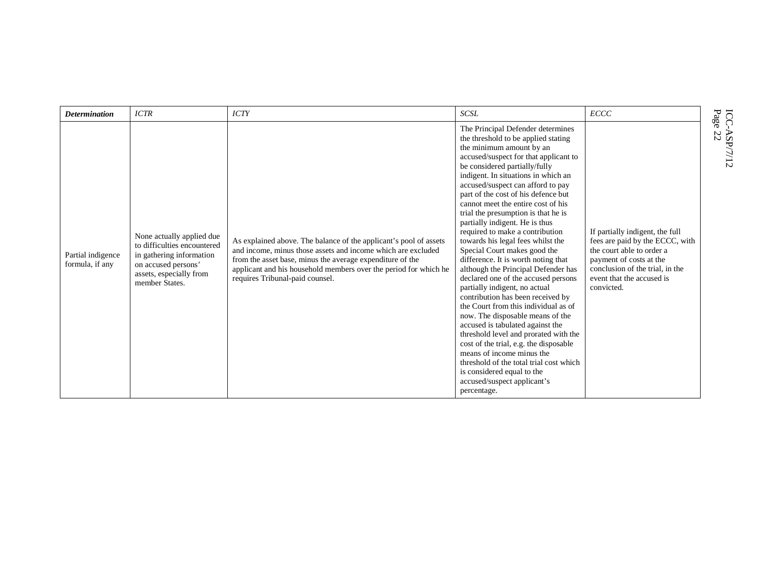| <b>Determination</b>                 | <b>ICTR</b>                                                                                                                                              | <b>ICTY</b>                                                                                                                                                                                                                                                                                           | <b>SCSL</b>                                                                                                                                                                                                                                                                                                                                                                                                                                                                                                                                                                                                                                                                                                                                                                                                                                                                                                                                                                                                                                                                | <b>ECCC</b>                                                                                                                                                                                              | $\mathbf{P} \mathbf{a} \mathbf{g} \mathbf{e}$<br>ICC- |
|--------------------------------------|----------------------------------------------------------------------------------------------------------------------------------------------------------|-------------------------------------------------------------------------------------------------------------------------------------------------------------------------------------------------------------------------------------------------------------------------------------------------------|----------------------------------------------------------------------------------------------------------------------------------------------------------------------------------------------------------------------------------------------------------------------------------------------------------------------------------------------------------------------------------------------------------------------------------------------------------------------------------------------------------------------------------------------------------------------------------------------------------------------------------------------------------------------------------------------------------------------------------------------------------------------------------------------------------------------------------------------------------------------------------------------------------------------------------------------------------------------------------------------------------------------------------------------------------------------------|----------------------------------------------------------------------------------------------------------------------------------------------------------------------------------------------------------|-------------------------------------------------------|
| Partial indigence<br>formula, if any | None actually applied due<br>to difficulties encountered<br>in gathering information<br>on accused persons'<br>assets, especially from<br>member States. | As explained above. The balance of the applicant's pool of assets<br>and income, minus those assets and income which are excluded<br>from the asset base, minus the average expenditure of the<br>applicant and his household members over the period for which he<br>requires Tribunal-paid counsel. | The Principal Defender determines<br>the threshold to be applied stating<br>the minimum amount by an<br>accused/suspect for that applicant to<br>be considered partially/fully<br>indigent. In situations in which an<br>accused/suspect can afford to pay<br>part of the cost of his defence but<br>cannot meet the entire cost of his<br>trial the presumption is that he is<br>partially indigent. He is thus<br>required to make a contribution<br>towards his legal fees whilst the<br>Special Court makes good the<br>difference. It is worth noting that<br>although the Principal Defender has<br>declared one of the accused persons<br>partially indigent, no actual<br>contribution has been received by<br>the Court from this individual as of<br>now. The disposable means of the<br>accused is tabulated against the<br>threshold level and prorated with the<br>cost of the trial, e.g. the disposable<br>means of income minus the<br>threshold of the total trial cost which<br>is considered equal to the<br>accused/suspect applicant's<br>percentage. | If partially indigent, the full<br>fees are paid by the ECCC, with<br>the court able to order a<br>payment of costs at the<br>conclusion of the trial, in the<br>event that the accused is<br>convicted. | $\sim$<br>ASP/7/12<br>N                               |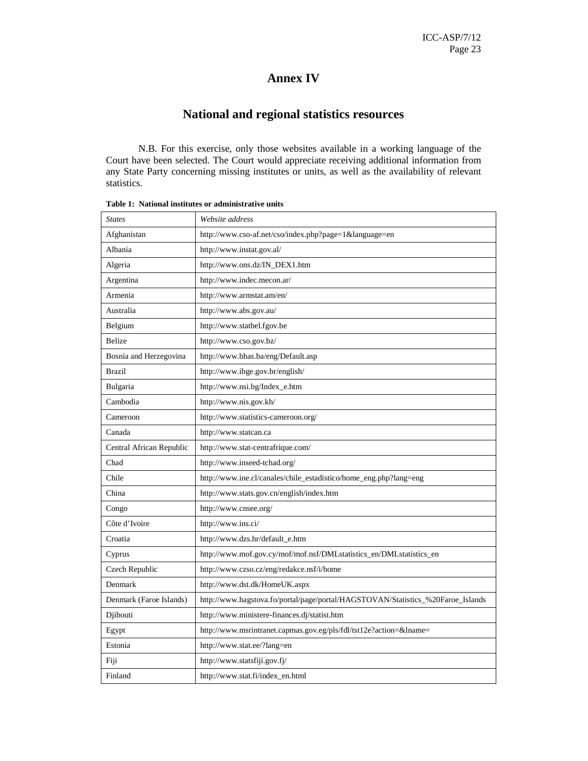# **Annex IV**

# **National and regional statistics resources**

N.B. For this exercise, only those websites available in a working language of the Court have been selected. The Court would appreciate receiving additional information from any State Party concerning missing institutes or units, as well as the availability of relevant statistics.

| <b>States</b>            | Website address                                                                 |
|--------------------------|---------------------------------------------------------------------------------|
| Afghanistan              | http://www.cso-af.net/cso/index.php?page=1&language=en                          |
| Albania                  | http://www.instat.gov.al/                                                       |
| Algeria                  | http://www.ons.dz/IN_DEX1.htm                                                   |
| Argentina                | http://www.indec.mecon.ar/                                                      |
| Armenia                  | http://www.armstat.am/en/                                                       |
| Australia                | http://www.abs.gov.au/                                                          |
| Belgium                  | http://www.statbel.fgov.be                                                      |
| <b>Belize</b>            | http://www.cso.gov.bz/                                                          |
| Bosnia and Herzegovina   | http://www.bhas.ba/eng/Default.asp                                              |
| Brazil                   | http://www.ibge.gov.br/english/                                                 |
| Bulgaria                 | http://www.nsi.bg/Index_e.htm                                                   |
| Cambodia                 | http://www.nis.gov.kh/                                                          |
| Cameroon                 | http://www.statistics-cameroon.org/                                             |
| Canada                   | http://www.statcan.ca                                                           |
| Central African Republic | http://www.stat-centrafrique.com/                                               |
| Chad                     | http://www.inseed-tchad.org/                                                    |
| Chile                    | http://www.ine.cl/canales/chile_estadistico/home_eng.php?lang=eng               |
| China                    | http://www.stats.gov.cn/english/index.htm                                       |
| Congo                    | http://www.cnsee.org/                                                           |
| Côte d'Ivoire            | http://www.ins.ci/                                                              |
| Croatia                  | http://www.dzs.hr/default_e.htm                                                 |
| Cyprus                   | http://www.mof.gov.cy/mof/mof.nsf/DMLstatistics_en/DMLstatistics_en             |
| Czech Republic           | http://www.czso.cz/eng/redakce.nsf/i/home                                       |
| Denmark                  | http://www.dst.dk/HomeUK.aspx                                                   |
| Denmark (Faroe Islands)  | http://www.hagstova.fo/portal/page/portal/HAGSTOVAN/Statistics_%20Faroe_Islands |
| Djibouti                 | http://www.ministere-finances.dj/statist.htm                                    |
| Egypt                    | http://www.msrintranet.capmas.gov.eg/pls/fdl/tst12e?action=&lname=              |
| Estonia                  | http://www.stat.ee/?lang=en                                                     |
| Fiji                     | http://www.statsfiji.gov.fj/                                                    |
| Finland                  | http://www.stat.fi/index_en.html                                                |

**Table 1: National institutes or administrative units**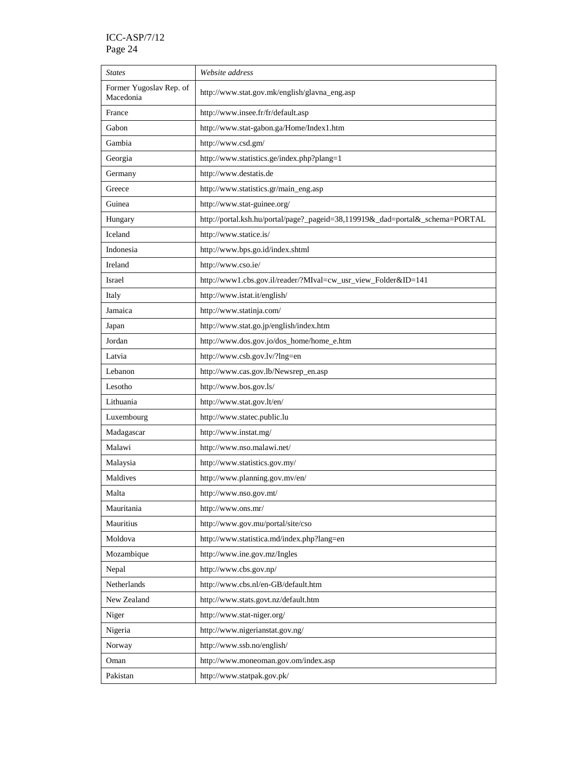| <b>States</b>                        | Website address                                                               |
|--------------------------------------|-------------------------------------------------------------------------------|
| Former Yugoslav Rep. of<br>Macedonia | http://www.stat.gov.mk/english/glavna_eng.asp                                 |
| France                               | http://www.insee.fr/fr/default.asp                                            |
| Gabon                                | http://www.stat-gabon.ga/Home/Index1.htm                                      |
| Gambia                               | http://www.csd.gm/                                                            |
| Georgia                              | http://www.statistics.ge/index.php?plang=1                                    |
| Germany                              | http://www.destatis.de                                                        |
| Greece                               | http://www.statistics.gr/main_eng.asp                                         |
| Guinea                               | http://www.stat-guinee.org/                                                   |
| Hungary                              | http://portal.ksh.hu/portal/page?_pageid=38,119919&_dad=portal&_schema=PORTAL |
| Iceland                              | http://www.statice.is/                                                        |
| Indonesia                            | http://www.bps.go.id/index.shtml                                              |
| Ireland                              | http://www.cso.ie/                                                            |
| Israel                               | http://www1.cbs.gov.il/reader/?MIval=cw_usr_view_Folder&ID=141                |
| Italy                                | http://www.istat.it/english/                                                  |
| Jamaica                              | http://www.statinja.com/                                                      |
| Japan                                | http://www.stat.go.jp/english/index.htm                                       |
| Jordan                               | http://www.dos.gov.jo/dos_home/home_e.htm                                     |
| Latvia                               | http://www.csb.gov.lv/?lng=en                                                 |
| Lebanon                              | http://www.cas.gov.lb/Newsrep_en.asp                                          |
| Lesotho                              | http://www.bos.gov.ls/                                                        |
| Lithuania                            | http://www.stat.gov.lt/en/                                                    |
| Luxembourg                           | http://www.statec.public.lu                                                   |
| Madagascar                           | http://www.instat.mg/                                                         |
| Malawi                               | http://www.nso.malawi.net/                                                    |
| Malaysia                             | http://www.statistics.gov.my/                                                 |
| Maldives                             | http://www.planning.gov.mv/en/                                                |
| Malta                                | http://www.nso.gov.mt/                                                        |
| Mauritania                           | http://www.ons.mr/                                                            |
| Mauritius                            | http://www.gov.mu/portal/site/cso                                             |
| Moldova                              | http://www.statistica.md/index.php?lang=en                                    |
| Mozambique                           | http://www.ine.gov.mz/Ingles                                                  |
| Nepal                                | http://www.cbs.gov.np/                                                        |
| Netherlands                          | http://www.cbs.nl/en-GB/default.htm                                           |
| New Zealand                          | http://www.stats.govt.nz/default.htm                                          |
| Niger                                | http://www.stat-niger.org/                                                    |
| Nigeria                              | http://www.nigerianstat.gov.ng/                                               |
| Norway                               | http://www.ssb.no/english/                                                    |
| Oman                                 | http://www.moneoman.gov.om/index.asp                                          |
| Pakistan                             | http://www.statpak.gov.pk/                                                    |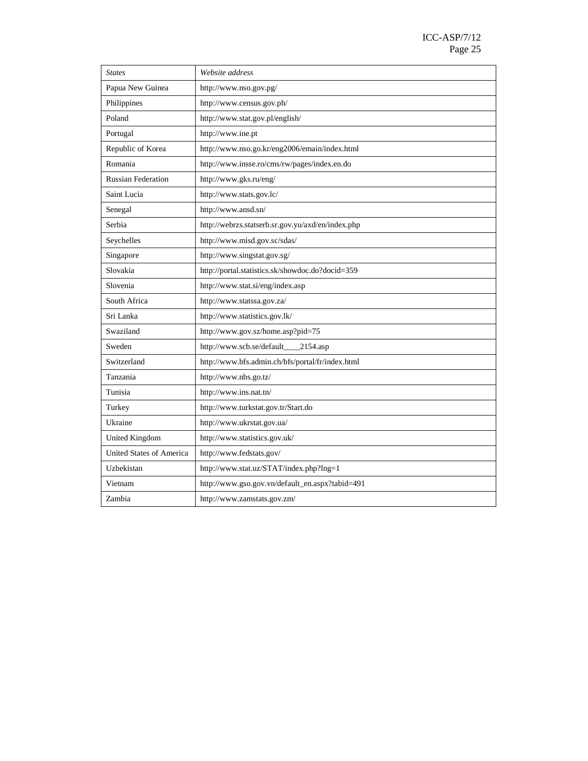| <b>States</b>                   | Website address                                   |
|---------------------------------|---------------------------------------------------|
| Papua New Guinea                | http://www.nso.gov.pg/                            |
| Philippines                     | http://www.census.gov.ph/                         |
| Poland                          | http://www.stat.gov.pl/english/                   |
| Portugal                        | http://www.ine.pt                                 |
| Republic of Korea               | http://www.nso.go.kr/eng2006/emain/index.html     |
| Romania                         | http://www.insse.ro/cms/rw/pages/index.en.do      |
| <b>Russian Federation</b>       | http://www.gks.ru/eng/                            |
| Saint Lucia                     | http://www.stats.gov.lc/                          |
| Senegal                         | http://www.ansd.sn/                               |
| Serbia                          | http://webrzs.statserb.sr.gov.yu/axd/en/index.php |
| Seychelles                      | http://www.misd.gov.sc/sdas/                      |
| Singapore                       | http://www.singstat.gov.sg/                       |
| Slovakia                        | http://portal.statistics.sk/showdoc.do?docid=359  |
| Slovenia                        | http://www.stat.si/eng/index.asp                  |
| South Africa                    | http://www.statssa.gov.za/                        |
| Sri Lanka                       | http://www.statistics.gov.lk/                     |
| Swaziland                       | http://www.gov.sz/home.asp?pid=75                 |
| Sweden                          | http://www.scb.se/default_<br>$2154$ .asp         |
| Switzerland                     | http://www.bfs.admin.ch/bfs/portal/fr/index.html  |
| Tanzania                        | http://www.nbs.go.tz/                             |
| Tunisia                         | http://www.ins.nat.tn/                            |
| Turkey                          | http://www.turkstat.gov.tr/Start.do               |
| Ukraine                         | http://www.ukrstat.gov.ua/                        |
| United Kingdom                  | http://www.statistics.gov.uk/                     |
| <b>United States of America</b> | http://www.fedstats.gov/                          |
| Uzbekistan                      | http://www.stat.uz/STAT/index.php?lng=1           |
| Vietnam                         | http://www.gso.gov.vn/default_en.aspx?tabid=491   |
| Zambia                          | http://www.zamstats.gov.zm/                       |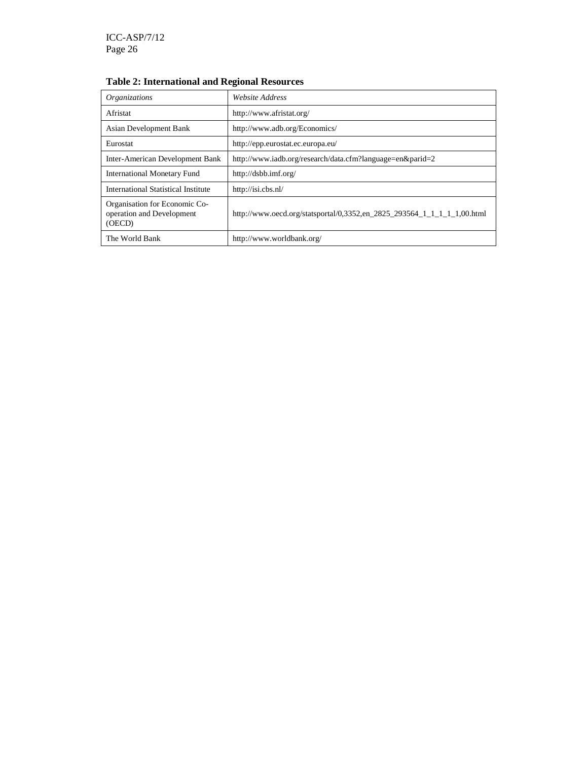# **Table 2: International and Regional Resources**

| <i><b>Organizations</b></i>                                          | Website Address                                                         |
|----------------------------------------------------------------------|-------------------------------------------------------------------------|
| Afristat                                                             | http://www.afristat.org/                                                |
| Asian Development Bank                                               | http://www.adb.org/Economics/                                           |
| Eurostat                                                             | http://epp.eurostat.ec.europa.eu/                                       |
| Inter-American Development Bank                                      | http://www.iadb.org/research/data.cfm?language=en&parid=2               |
| <b>International Monetary Fund</b>                                   | http://dsbb.imf.org/                                                    |
| International Statistical Institute                                  | http://isi.cbs.nl/                                                      |
| Organisation for Economic Co-<br>operation and Development<br>(OECD) | http://www.oecd.org/statsportal/0.3352.en 2825 293564 1 1 1 1 1.00.html |
| The World Bank                                                       | http://www.worldbank.org/                                               |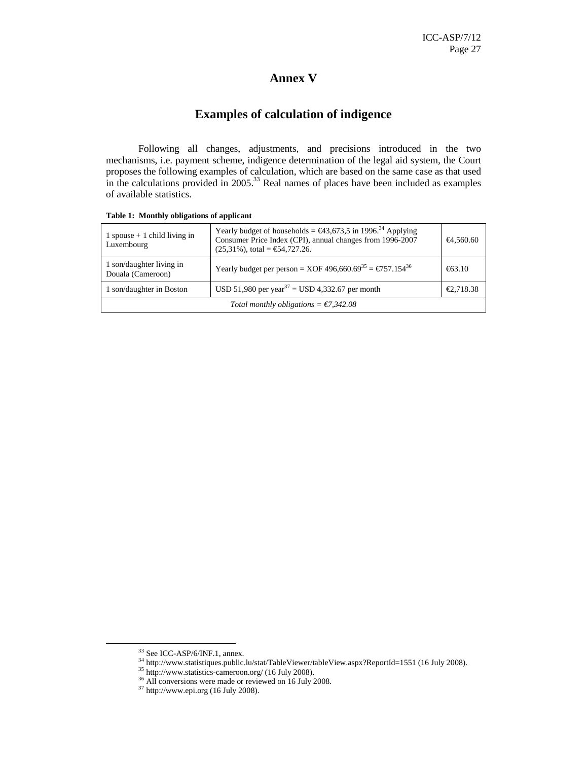# **Annex V**

# **Examples of calculation of indigence**

Following all changes, adjustments, and precisions introduced in the two mechanisms, i.e. payment scheme, indigence determination of the legal aid system, the Court proposes the following examples of calculation, which are based on the same case as that used in the calculations provided in  $2005<sup>33</sup>$  Real names of places have been included as examples of available statistics.

| 1 spouse $+$ 1 child living in<br>Luxembourg    | Yearly budget of households = $\epsilon$ 43,673,5 in 1996 <sup>34</sup> Applying<br>Consumer Price Index (CPI), annual changes from 1996-2007<br>$(25,31\%)$ , total = €54,727.26. | €4,560.60 |
|-------------------------------------------------|------------------------------------------------------------------------------------------------------------------------------------------------------------------------------------|-----------|
| 1 son/daughter living in<br>Douala (Cameroon)   | Yearly budget per person = XOF 496,660.69 <sup>35</sup> = €757.154 <sup>6</sup>                                                                                                    | €63.10    |
| 1 son/daughter in Boston                        | USD 51,980 per year <sup>37</sup> = USD 4,332.67 per month                                                                                                                         | €2,718.38 |
| Total monthly obligations = $\epsilon$ 7,342.08 |                                                                                                                                                                                    |           |

#### **Table 1: Monthly obligations of applicant**

<sup>33</sup> See ICC-ASP/6/INF.1, annex.

 $34$  http://www.statistiques.public.lu/stat/TableViewer/tableView.aspx?ReportId=1551 (16 July 2008).

<sup>35</sup> http://www.statistics-cameroon.org/ (16 July 2008).

<sup>&</sup>lt;sup>36</sup> All conversions were made or reviewed on 16 July 2008.

 $37$  http://www.epi.org (16 July 2008).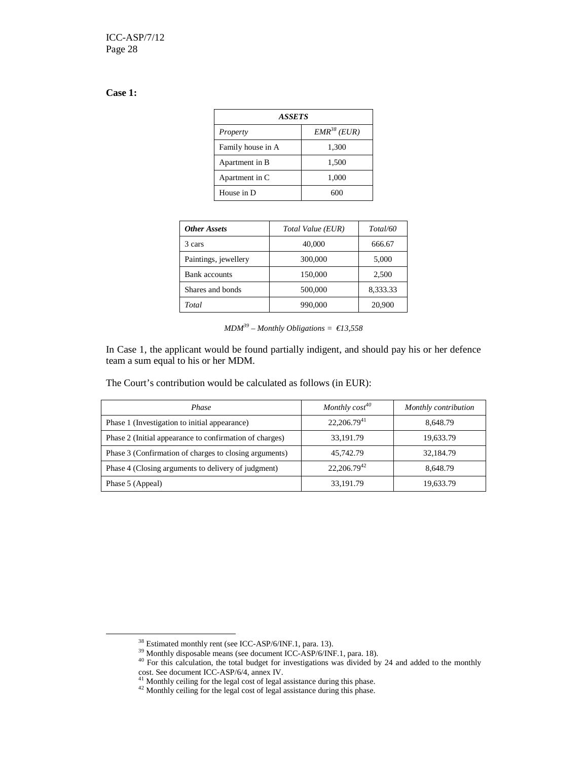# **Case 1:**

 $\ddot{\phantom{a}}$ 

| <b>ASSETS</b>     |                  |  |  |
|-------------------|------------------|--|--|
| Property          | $EMR^{38} (EUR)$ |  |  |
| Family house in A | 1,300            |  |  |
| Apartment in B    | 1,500            |  |  |
| Apartment in C    | 1,000            |  |  |
| House in D        | ഩ                |  |  |

| <b>Other Assets</b>  | Total Value (EUR) | Total/60 |
|----------------------|-------------------|----------|
| 3 cars               | 40,000            | 666.67   |
| Paintings, jewellery | 300,000           | 5,000    |
| Bank accounts        | 150,000           | 2,500    |
| Shares and bonds     | 500,000           | 8,333.33 |
| Total                | 990,000           | 20,900   |

|  | $MDM39 - Monthly Obligations = \in13,558$ |  |
|--|-------------------------------------------|--|
|  |                                           |  |

In Case 1, the applicant would be found partially indigent, and should pay his or her defence team a sum equal to his or her MDM.

The Court's contribution would be calculated as follows (in EUR):

| Phase                                                   | Monthly $cost^{40}$ | Monthly contribution |
|---------------------------------------------------------|---------------------|----------------------|
| Phase 1 (Investigation to initial appearance)           | $22,206.79^{41}$    | 8,648.79             |
| Phase 2 (Initial appearance to confirmation of charges) | 33,191.79           | 19,633.79            |
| Phase 3 (Confirmation of charges to closing arguments)  | 45,742.79           | 32,184.79            |
| Phase 4 (Closing arguments to delivery of judgment)     | $22,206.79^{42}$    | 8,648.79             |
| Phase 5 (Appeal)                                        | 33,191.79           | 19,633.79            |

<sup>&</sup>lt;sup>38</sup> Estimated monthly rent (see ICC-ASP/6/INF.1, para. 13).

<sup>&</sup>lt;sup>39</sup> Monthly disposable means (see document ICC-ASP/6/INF.1, para. 18).

 $40$  For this calculation, the total budget for investigations was divided by 24 and added to the monthly cost. See document ICC-ASP/6/4, annex IV.

 $41$  Monthly ceiling for the legal cost of legal assistance during this phase.

<sup>&</sup>lt;sup>42</sup> Monthly ceiling for the legal cost of legal assistance during this phase.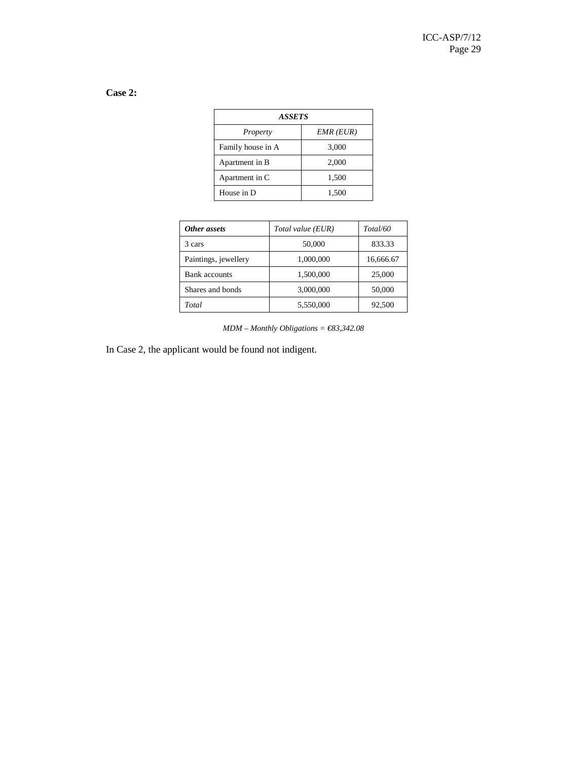# **Case 2:**

| ASSETS            |                 |  |
|-------------------|-----------------|--|
| Property          | $EMR$ ( $EUR$ ) |  |
| Family house in A | 3,000           |  |
| Apartment in B    | 2,000           |  |
| Apartment in C    | 1,500           |  |
| House in D        | 1,500           |  |

| Other assets         | Total value (EUR) | Total/60  |
|----------------------|-------------------|-----------|
| 3 cars               | 50,000            | 833.33    |
| Paintings, jewellery | 1,000,000         | 16,666.67 |
| Bank accounts        | 1,500,000         | 25,000    |
| Shares and bonds     | 3,000,000         | 50,000    |
| Total                | 5,550,000         | 92,500    |

*MDM – Monthly Obligations = €83,342.08* 

In Case 2, the applicant would be found not indigent.